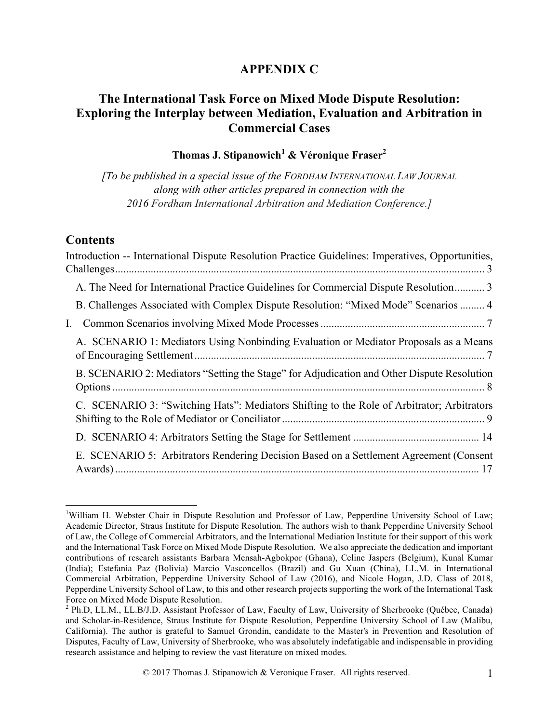# **APPENDIX C**

# **The International Task Force on Mixed Mode Dispute Resolution: Exploring the Interplay between Mediation, Evaluation and Arbitration in Commercial Cases**

# **Thomas J. Stipanowich<sup>1</sup> & Véronique Fraser2**

*[To be published in a special issue of the FORDHAM INTERNATIONAL LAW JOURNAL along with other articles prepared in connection with the 2016 Fordham International Arbitration and Mediation Conference.]* 

#### **Contents**

| Introduction -- International Dispute Resolution Practice Guidelines: Imperatives, Opportunities, |  |
|---------------------------------------------------------------------------------------------------|--|
| A. The Need for International Practice Guidelines for Commercial Dispute Resolution 3             |  |
| B. Challenges Associated with Complex Dispute Resolution: "Mixed Mode" Scenarios  4               |  |
| $\mathbf{I}$ .                                                                                    |  |
| A. SCENARIO 1: Mediators Using Nonbinding Evaluation or Mediator Proposals as a Means             |  |
| B. SCENARIO 2: Mediators "Setting the Stage" for Adjudication and Other Dispute Resolution        |  |
| C. SCENARIO 3: "Switching Hats": Mediators Shifting to the Role of Arbitrator; Arbitrators        |  |
|                                                                                                   |  |
| E. SCENARIO 5: Arbitrators Rendering Decision Based on a Settlement Agreement (Consent            |  |

 $\frac{1}{1}$ <sup>1</sup>William H. Webster Chair in Dispute Resolution and Professor of Law, Pepperdine University School of Law; Academic Director, Straus Institute for Dispute Resolution. The authors wish to thank Pepperdine University School of Law, the College of Commercial Arbitrators, and the International Mediation Institute for their support of this work and the International Task Force on Mixed Mode Dispute Resolution. We also appreciate the dedication and important contributions of research assistants Barbara Mensah-Agbokpor (Ghana), Celine Jaspers (Belgium), Kunal Kumar (India); Estefania Paz (Bolivia) Marcio Vasconcellos (Brazil) and Gu Xuan (China), LL.M. in International Commercial Arbitration, Pepperdine University School of Law (2016), and Nicole Hogan, J.D. Class of 2018, Pepperdine University School of Law, to this and other research projects supporting the work of the International Task Force on Mixed Mode Dispute Resolution.

<sup>2</sup> Ph.D, LL.M., LL.B/J.D. Assistant Professor of Law, Faculty of Law, University of Sherbrooke (Québec, Canada) and Scholar-in-Residence, Straus Institute for Dispute Resolution, Pepperdine University School of Law (Malibu, California). The author is grateful to Samuel Grondin, candidate to the Master's in Prevention and Resolution of Disputes, Faculty of Law, University of Sherbrooke, who was absolutely indefatigable and indispensable in providing research assistance and helping to review the vast literature on mixed modes.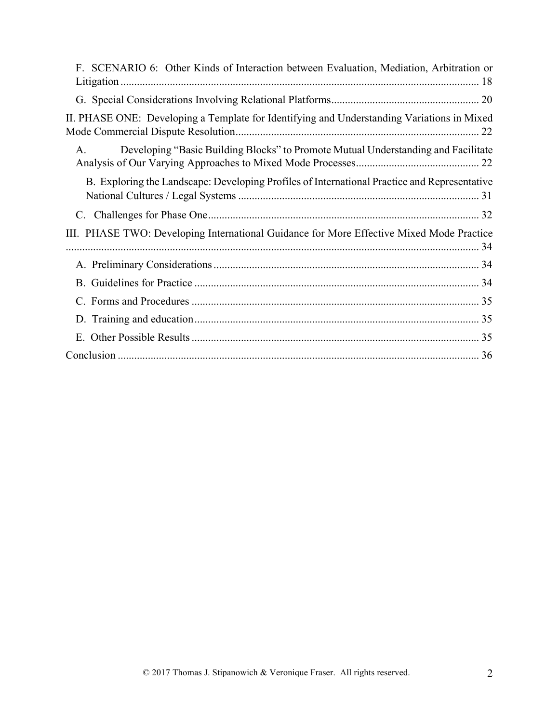| F. SCENARIO 6: Other Kinds of Interaction between Evaluation, Mediation, Arbitration or      |
|----------------------------------------------------------------------------------------------|
|                                                                                              |
| II. PHASE ONE: Developing a Template for Identifying and Understanding Variations in Mixed   |
| Developing "Basic Building Blocks" to Promote Mutual Understanding and Facilitate<br>A.      |
| B. Exploring the Landscape: Developing Profiles of International Practice and Representative |
|                                                                                              |
| III. PHASE TWO: Developing International Guidance for More Effective Mixed Mode Practice     |
|                                                                                              |
|                                                                                              |
|                                                                                              |
|                                                                                              |
| $E_{\perp}$                                                                                  |
|                                                                                              |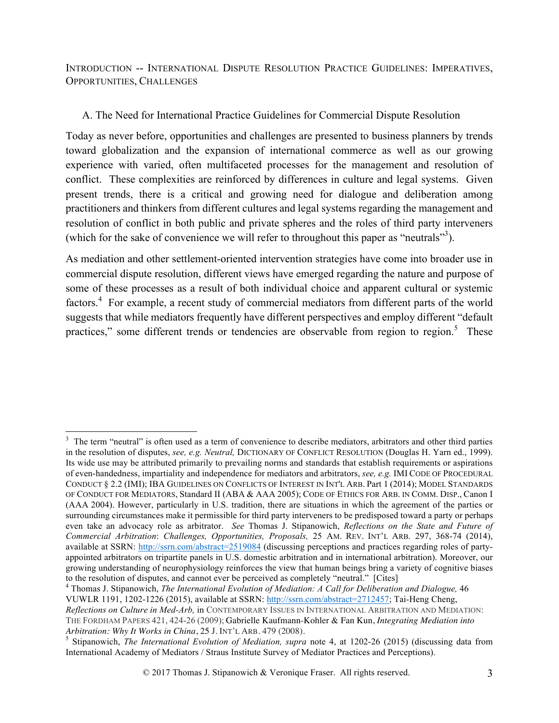INTRODUCTION -- INTERNATIONAL DISPUTE RESOLUTION PRACTICE GUIDELINES: IMPERATIVES, OPPORTUNITIES, CHALLENGES

### A. The Need for International Practice Guidelines for Commercial Dispute Resolution

Today as never before, opportunities and challenges are presented to business planners by trends toward globalization and the expansion of international commerce as well as our growing experience with varied, often multifaceted processes for the management and resolution of conflict. These complexities are reinforced by differences in culture and legal systems. Given present trends, there is a critical and growing need for dialogue and deliberation among practitioners and thinkers from different cultures and legal systems regarding the management and resolution of conflict in both public and private spheres and the roles of third party interveners (which for the sake of convenience we will refer to throughout this paper as "neutrals"<sup>3</sup>).

As mediation and other settlement-oriented intervention strategies have come into broader use in commercial dispute resolution, different views have emerged regarding the nature and purpose of some of these processes as a result of both individual choice and apparent cultural or systemic factors.<sup>4</sup> For example, a recent study of commercial mediators from different parts of the world suggests that while mediators frequently have different perspectives and employ different "default practices," some different trends or tendencies are observable from region to region.<sup>5</sup> These

<sup>&</sup>lt;sup>2</sup><br>3 <sup>3</sup> The term "neutral" is often used as a term of convenience to describe mediators, arbitrators and other third parties in the resolution of disputes, *see, e.g. Neutral,* DICTIONARY OF CONFLICT RESOLUTION (Douglas H. Yarn ed., 1999). Its wide use may be attributed primarily to prevailing norms and standards that establish requirements or aspirations of even-handedness, impartiality and independence for mediators and arbitrators, *see, e.g.* IMI CODE OF PROCEDURAL CONDUCT § 2.2 (IMI); IBA GUIDELINES ON CONFLICTS OF INTEREST IN INT'L ARB. Part 1 (2014); MODEL STANDARDS OF CONDUCT FOR MEDIATORS, Standard II (ABA & AAA 2005); CODE OF ETHICS FOR ARB. IN COMM. DISP., Canon I (AAA 2004). However, particularly in U.S. tradition, there are situations in which the agreement of the parties or surrounding circumstances make it permissible for third party interveners to be predisposed toward a party or perhaps even take an advocacy role as arbitrator. *See* Thomas J. Stipanowich, *Reflections on the State and Future of Commercial Arbitration*: *Challenges, Opportunities, Proposals,* 25 AM. REV. INT'L ARB. 297, 368-74 (2014), available at SSRN: http://ssrn.com/abstract=2519084 (discussing perceptions and practices regarding roles of partyappointed arbitrators on tripartite panels in U.S. domestic arbitration and in international arbitration). Moreover, our growing understanding of neurophysiology reinforces the view that human beings bring a variety of cognitive biases<br>to the resolution of disputes, and cannot ever be perceived as completely "neutral." [Cites]

<sup>&</sup>lt;sup>4</sup> Thomas J. Stipanowich, The International Evolution of Mediation: A Call for Deliberation and Dialogue, 46 VUWLR 1191, 1202-1226 (2015), available at SSRN: http://ssrn.com/abstract=2712457; Tai-Heng Cheng, *Reflections on Culture in Med-Arb,* in CONTEMPORARY ISSUES IN INTERNATIONAL ARBITRATION AND MEDIATION: THE FORDHAM PAPERS 421, 424-26 (2009); Gabrielle Kaufmann-Kohler & Fan Kun, *Integrating Mediation into* 

<sup>&</sup>lt;sup>5</sup> Stipanowich, *The International Evolution of Mediation, supra* note 4, at 1202-26 (2015) (discussing data from International Academy of Mediators / Straus Institute Survey of Mediator Practices and Perceptions).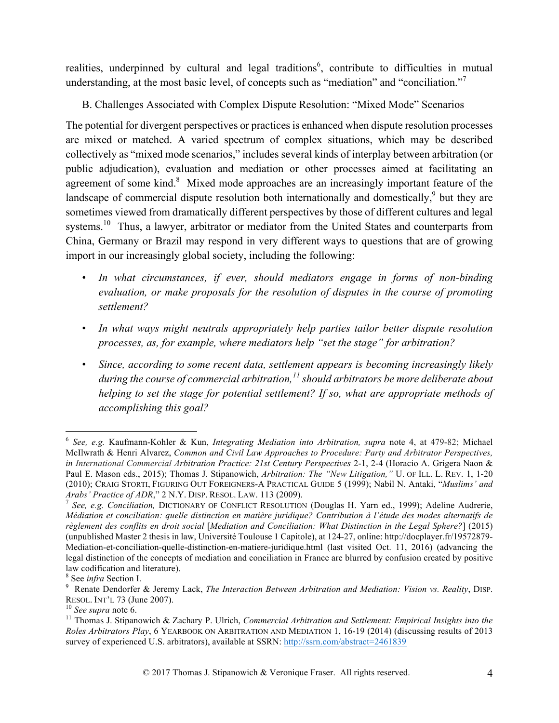realities, underpinned by cultural and legal traditions<sup>6</sup>, contribute to difficulties in mutual understanding, at the most basic level, of concepts such as "mediation" and "conciliation."<sup>7</sup>

B. Challenges Associated with Complex Dispute Resolution: "Mixed Mode" Scenarios

The potential for divergent perspectives or practices is enhanced when dispute resolution processes are mixed or matched. A varied spectrum of complex situations, which may be described collectively as "mixed mode scenarios," includes several kinds of interplay between arbitration (or public adjudication), evaluation and mediation or other processes aimed at facilitating an agreement of some kind. $8$  Mixed mode approaches are an increasingly important feature of the landscape of commercial dispute resolution both internationally and domestically,<sup>9</sup> but they are sometimes viewed from dramatically different perspectives by those of different cultures and legal systems.<sup>10</sup> Thus, a lawyer, arbitrator or mediator from the United States and counterparts from China, Germany or Brazil may respond in very different ways to questions that are of growing import in our increasingly global society, including the following:

- *In what circumstances, if ever, should mediators engage in forms of non-binding evaluation, or make proposals for the resolution of disputes in the course of promoting settlement?*
- *In what ways might neutrals appropriately help parties tailor better dispute resolution processes, as, for example, where mediators help "set the stage" for arbitration?*
- *Since, according to some recent data, settlement appears is becoming increasingly likely during the course of commercial arbitration,<sup>11</sup> should arbitrators be more deliberate about helping to set the stage for potential settlement? If so, what are appropriate methods of accomplishing this goal?*

 <sup>6</sup> *See, e.g.* Kaufmann-Kohler & Kun, *Integrating Mediation into Arbitration, supra* note 4, at 479-82; Michael McIlwrath & Henri Alvarez, *Common and Civil Law Approaches to Procedure: Party and Arbitrator Perspectives, in International Commercial Arbitration Practice: 21st Century Perspectives* 2-1, 2-4 (Horacio A. Grigera Naon & Paul E. Mason eds., 2015); Thomas J. Stipanowich, *Arbitration: The "New Litigation,"* U. OF ILL. L. REV. 1, 1-20 (2010); CRAIG STORTI, FIGURING OUT FOREIGNERS-A PRACTICAL GUIDE 5 (1999); Nabil N. Antaki, "*Muslims' and Arabs' Practice of ADR*," 2 N.Y. DISP. RESOL. LAW. 113 (2009).<br><sup>7</sup> *See, e.g. Conciliation*, DICTIONARY OF CONFLICT RESOLUTION (Douglas H. Yarn ed., 1999); Adeline Audrerie,

*Médiation et conciliation: quelle distinction en matière juridique? Contribution à l'étude des modes alternatifs de règlement des conflits en droit social* [*Mediation and Conciliation: What Distinction in the Legal Sphere?*] (2015) (unpublished Master 2 thesis in law, Université Toulouse 1 Capitole), at 124-27, online: http://docplayer.fr/19572879- Mediation-et-conciliation-quelle-distinction-en-matiere-juridique.html (last visited Oct. 11, 2016) (advancing the legal distinction of the concepts of mediation and conciliation in France are blurred by confusion created by positive law codification and literature).

<sup>&</sup>lt;sup>8</sup> See *infra* Section I.<br><sup>9</sup> Renate Dendorfer & Jeremy Lack, *The Interaction Between Arbitration and Mediation: Vision vs. Reality*, DISP.<br>RESOL. INT'L 73 (June 2007).

<sup>&</sup>lt;sup>10</sup> See supra note 6.<br><sup>11</sup> Thomas J. Stipanowich & Zachary P. Ulrich, *Commercial Arbitration and Settlement: Empirical Insights into the Roles Arbitrators Play*, 6 YEARBOOK ON ARBITRATION AND MEDIATION 1, 16-19 (2014) (discussing results of 2013 survey of experienced U.S. arbitrators), available at SSRN: http://ssrn.com/abstract=2461839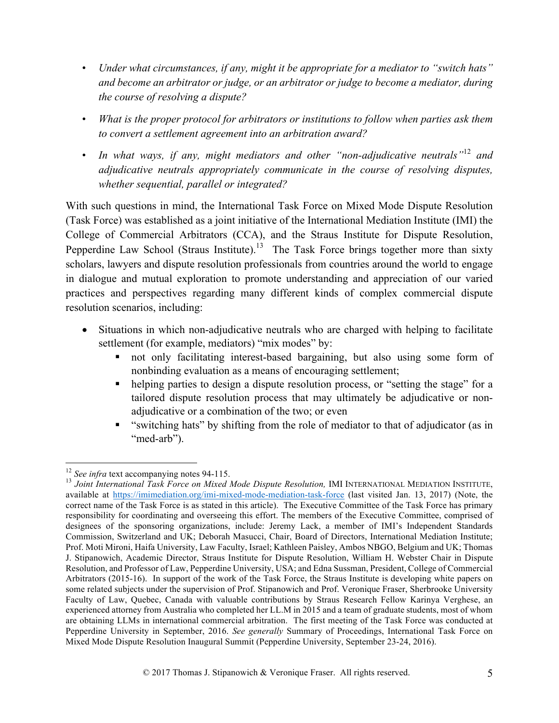- *Under what circumstances, if any, might it be appropriate for a mediator to "switch hats" and become an arbitrator or judge, or an arbitrator or judge to become a mediator, during the course of resolving a dispute?*
- *What is the proper protocol for arbitrators or institutions to follow when parties ask them to convert a settlement agreement into an arbitration award?*
- *In what ways, if any, might mediators and other "non-adjudicative neutrals"*<sup>12</sup> *and adjudicative neutrals appropriately communicate in the course of resolving disputes, whether sequential, parallel or integrated?*

With such questions in mind, the International Task Force on Mixed Mode Dispute Resolution (Task Force) was established as a joint initiative of the International Mediation Institute (IMI) the College of Commercial Arbitrators (CCA), and the Straus Institute for Dispute Resolution, Pepperdine Law School (Straus Institute).<sup>13</sup> The Task Force brings together more than sixty scholars, lawyers and dispute resolution professionals from countries around the world to engage in dialogue and mutual exploration to promote understanding and appreciation of our varied practices and perspectives regarding many different kinds of complex commercial dispute resolution scenarios, including:

- Situations in which non-adjudicative neutrals who are charged with helping to facilitate settlement (for example, mediators) "mix modes" by:
	- § not only facilitating interest-based bargaining, but also using some form of nonbinding evaluation as a means of encouraging settlement;
	- helping parties to design a dispute resolution process, or "setting the stage" for a tailored dispute resolution process that may ultimately be adjudicative or nonadjudicative or a combination of the two; or even
	- § "switching hats" by shifting from the role of mediator to that of adjudicator (as in "med-arb").

<sup>&</sup>lt;sup>12</sup> *See infra* text accompanying notes 94-115.<br><sup>13</sup> Joint International Task Force on Mixed Mode Dispute Resolution, IMI INTERNATIONAL MEDIATION INSTITUTE, available at https://imimediation.org/imi-mixed-mode-mediation-task-force (last visited Jan. 13, 2017) (Note, the correct name of the Task Force is as stated in this article). The Executive Committee of the Task Force has primary responsibility for coordinating and overseeing this effort. The members of the Executive Committee, comprised of designees of the sponsoring organizations, include: Jeremy Lack, a member of IMI's Independent Standards Commission, Switzerland and UK; Deborah Masucci, Chair, Board of Directors, International Mediation Institute; Prof. Moti Mironi, Haifa University, Law Faculty, Israel; Kathleen Paisley, Ambos NBGO, Belgium and UK; Thomas J. Stipanowich, Academic Director, Straus Institute for Dispute Resolution, William H. Webster Chair in Dispute Resolution, and Professor of Law, Pepperdine University, USA; and Edna Sussman, President, College of Commercial Arbitrators (2015-16). In support of the work of the Task Force, the Straus Institute is developing white papers on some related subjects under the supervision of Prof. Stipanowich and Prof. Veronique Fraser, Sherbrooke University Faculty of Law, Quebec, Canada with valuable contributions by Straus Research Fellow Karinya Verghese, an experienced attorney from Australia who completed her LL.M in 2015 and a team of graduate students, most of whom are obtaining LLMs in international commercial arbitration. The first meeting of the Task Force was conducted at Pepperdine University in September, 2016. *See generally* Summary of Proceedings, International Task Force on Mixed Mode Dispute Resolution Inaugural Summit (Pepperdine University, September 23-24, 2016).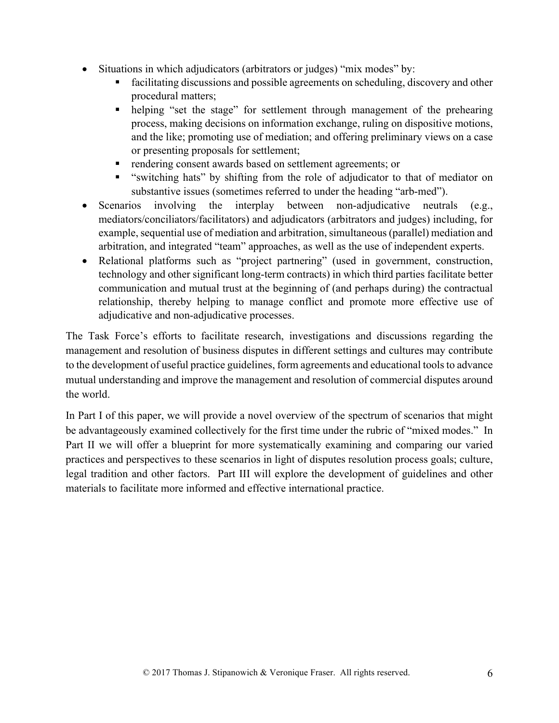- Situations in which adjudicators (arbitrators or judges) "mix modes" by:
	- facilitating discussions and possible agreements on scheduling, discovery and other procedural matters;
	- helping "set the stage" for settlement through management of the prehearing process, making decisions on information exchange, ruling on dispositive motions, and the like; promoting use of mediation; and offering preliminary views on a case or presenting proposals for settlement;
	- rendering consent awards based on settlement agreements; or
	- "switching hats" by shifting from the role of adjudicator to that of mediator on substantive issues (sometimes referred to under the heading "arb-med").
- Scenarios involving the interplay between non-adjudicative neutrals (e.g., mediators/conciliators/facilitators) and adjudicators (arbitrators and judges) including, for example, sequential use of mediation and arbitration, simultaneous(parallel) mediation and arbitration, and integrated "team" approaches, as well as the use of independent experts.
- Relational platforms such as "project partnering" (used in government, construction, technology and other significant long-term contracts) in which third parties facilitate better communication and mutual trust at the beginning of (and perhaps during) the contractual relationship, thereby helping to manage conflict and promote more effective use of adjudicative and non-adjudicative processes.

The Task Force's efforts to facilitate research, investigations and discussions regarding the management and resolution of business disputes in different settings and cultures may contribute to the development of useful practice guidelines, form agreements and educational tools to advance mutual understanding and improve the management and resolution of commercial disputes around the world.

In Part I of this paper, we will provide a novel overview of the spectrum of scenarios that might be advantageously examined collectively for the first time under the rubric of "mixed modes." In Part II we will offer a blueprint for more systematically examining and comparing our varied practices and perspectives to these scenarios in light of disputes resolution process goals; culture, legal tradition and other factors. Part III will explore the development of guidelines and other materials to facilitate more informed and effective international practice.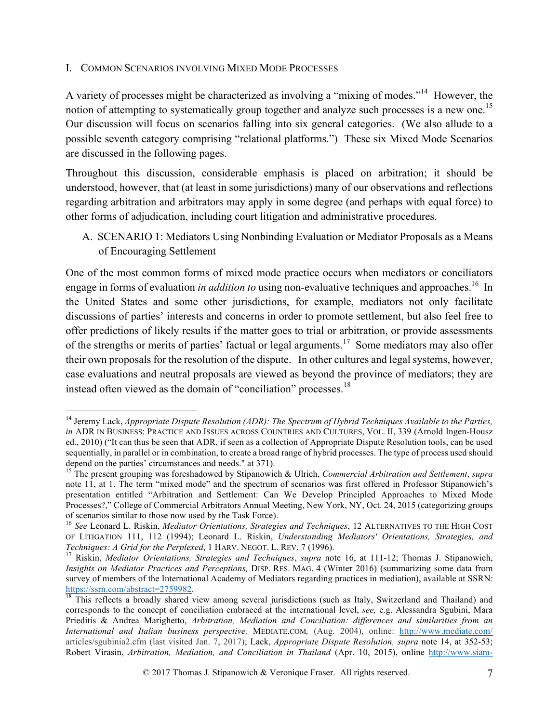#### I. COMMON SCENARIOS INVOLVING MIXED MODE PROCESSES

A variety of processes might be characterized as involving a "mixing of modes."<sup>14</sup> However, the notion of attempting to systematically group together and analyze such processes is a new one.<sup>15</sup> Our discussion will focus on scenarios falling into six general categories. (We also allude to a possible seventh category comprising "relational platforms.") These six Mixed Mode Scenarios are discussed in the following pages.

Throughout this discussion, considerable emphasis is placed on arbitration; it should be understood, however, that (at least in some jurisdictions) many of our observations and reflections regarding arbitration and arbitrators may apply in some degree (and perhaps with equal force) to other forms of adjudication, including court litigation and administrative procedures.

A. SCENARIO 1: Mediators Using Nonbinding Evaluation or Mediator Proposals as a Means of Encouraging Settlement

One of the most common forms of mixed mode practice occurs when mediators or conciliators engage in forms of evaluation *in addition to* using non-evaluative techniques and approaches.<sup>16</sup> In the United States and some other jurisdictions, for example, mediators not only facilitate discussions of parties' interests and concerns in order to promote settlement, but also feel free to offer predictions of likely results if the matter goes to trial or arbitration, or provide assessments of the strengths or merits of parties' factual or legal arguments.<sup>17</sup> Some mediators may also offer their own proposals for the resolution of the dispute. In other cultures and legal systems, however, case evaluations and neutral proposals are viewed as beyond the province of mediators; they are instead often viewed as the domain of "conciliation" processes.<sup>18</sup>

 <sup>14</sup> Jeremy Lack, *Appropriate Dispute Resolution (ADR): The Spectrum of Hybrid Techniques Available to the Parties, in* ADR IN BUSINESS: PRACTICE AND ISSUES ACROSS COUNTRIES AND CULTURES, VOL. II, 339 (Arnold Ingen-Housz ed., 2010) ("It can thus be seen that ADR, if seen as a collection of Appropriate Dispute Resolution tools, can be used sequentially, in parallel or in combination, to create a broad range of hybrid processes. The type of process used should depend on the parties' circumstances and needs." at 371).

<sup>15</sup> The present grouping was foreshadowed by Stipanowich & Ulrich, *Commercial Arbitration and Settlement*, *supra*  note 11, at 1. The term "mixed mode" and the spectrum of scenarios was first offered in Professor Stipanowich's presentation entitled "Arbitration and Settlement: Can We Develop Principled Approaches to Mixed Mode Processes?," College of Commercial Arbitrators Annual Meeting, New York, NY, Oct. 24, 2015 (categorizing groups of scenarios similar to those now used by the Task Force). 16 *See* Leonard L. Riskin, *Mediator Orientations, Strategies and Techniques*, 12 ALTERNATIVES TO THE HIGH COST

OF LITIGATION 111, 112 (1994); Leonard L. Riskin, *Understanding Mediators' Orientations, Strategies, and* 

*Techniques: A Grid for the Perplexed*, 1 HARV. NEGOT. L. REV. 7 (1996).<br><sup>17</sup> Riskin, *Mediator Orientations, Strategies and Techniques, <i>supra* note 16, at 111-12; Thomas J. Stipanowich, *Insights on Mediator Practices and Perceptions,* DISP. RES. MAG. 4 (Winter 2016) (summarizing some data from survey of members of the International Academy of Mediators regarding practices in mediation), available at SSRN: https://ssrn.com/abstract=2759982.<br><sup>18</sup> This reflects a broadly shared view among several jurisdictions (such as Italy, Switzerland and Thailand) and

corresponds to the concept of conciliation embraced at the international level, *see,* e.g. Alessandra Sgubini, Mara Prieditis & Andrea Marighetto, *Arbitration, Mediation and Conciliation: differences and similarities from an International and Italian business perspective,* MEDIATE.COM*,* (Aug. 2004), online: http://www.mediate.com/ articles/sgubinia2.cfm (last visited Jan. 7, 2017); Lack, *Appropriate Dispute Resolution, supra* note 14, at 352-53; Robert Virasin, *Arbitration, Mediation, and Conciliation in Thailand* (Apr. 10, 2015), online http://www.siam-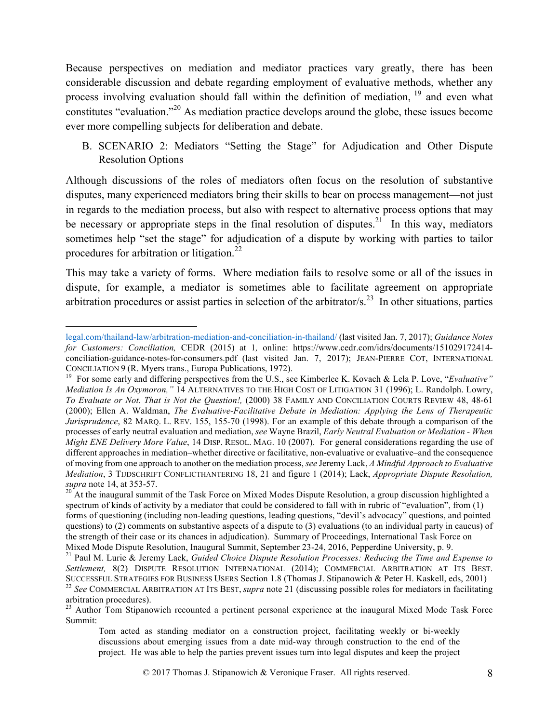Because perspectives on mediation and mediator practices vary greatly, there has been considerable discussion and debate regarding employment of evaluative methods, whether any process involving evaluation should fall within the definition of mediation, <sup>19</sup> and even what constitutes "evaluation."20 As mediation practice develops around the globe, these issues become ever more compelling subjects for deliberation and debate.

B. SCENARIO 2: Mediators "Setting the Stage" for Adjudication and Other Dispute Resolution Options

Although discussions of the roles of mediators often focus on the resolution of substantive disputes, many experienced mediators bring their skills to bear on process management—not just in regards to the mediation process, but also with respect to alternative process options that may be necessary or appropriate steps in the final resolution of disputes.<sup>21</sup> In this way, mediators sometimes help "set the stage" for adjudication of a dispute by working with parties to tailor procedures for arbitration or litigation.<sup>22</sup>

This may take a variety of forms. Where mediation fails to resolve some or all of the issues in dispute, for example, a mediator is sometimes able to facilitate agreement on appropriate arbitration procedures or assist parties in selection of the arbitrator/s.23 In other situations, parties

legal.com/thailand-law/arbitration-mediation-and-conciliation-in-thailand/ (last visited Jan. 7, 2017); *Guidance Notes for Customers: Conciliation,* CEDR (2015) at 1*,* online: https://www.cedr.com/idrs/documents/151029172414 conciliation-guidance-notes-for-consumers.pdf (last visited Jan. 7, 2017); JEAN-PIERRE COT, INTERNATIONAL

CONCILIATION 9 (R. Myers trans., Europa Publications, 1972).<br><sup>19</sup> For some early and differing perspectives from the U.S., see Kimberlee K. Kovach & Lela P. Love, "*Evaluative*" *Mediation Is An Oxymoron,"* 14 ALTERNATIVES TO THE HIGH COST OF LITIGATION 31 (1996); L. Randolph. Lowry, *To Evaluate or Not. That is Not the Question!,* (2000) 38 FAMILY AND CONCILIATION COURTS REVIEW 48, 48-61 (2000); Ellen A. Waldman, *The Evaluative-Facilitative Debate in Mediation: Applying the Lens of Therapeutic Jurisprudence*, 82 MARQ. L. REV. 155, 155-70 (1998). For an example of this debate through a comparison of the processes of early neutral evaluation and mediation, *see* Wayne Brazil, *Early Neutral Evaluation or Mediation - When Might ENE Delivery More Value*, 14 DISP. RESOL. MAG. 10 (2007). For general considerations regarding the use of different approaches in mediation–whether directive or facilitative, non-evaluative or evaluative–and the consequence of moving from one approach to another on the mediation process, *see* Jeremy Lack, *A Mindful Approach to Evaluative Mediation*, 3 TIJDSCHRIFT CONFLICTHANTERING 18, 21 and figure 1 (2014); Lack, *Appropriate Dispute Resolution, supra* note 14, at 353-57.<br><sup>20</sup> At the inaugural summit of the Task Force on Mixed Modes Dispute Resolution, a group discussion highlighted a

spectrum of kinds of activity by a mediator that could be considered to fall with in rubric of "evaluation", from (1) forms of questioning (including non-leading questions, leading questions, "devil's advocacy" questions, and pointed questions) to (2) comments on substantive aspects of a dispute to (3) evaluations (to an individual party in caucus) of the strength of their case or its chances in adjudication). Summary of Proceedings, International Task Force on

Mixed Mode Dispute Resolution, Inaugural Summit, September 23-24, 2016, Pepperdine University, p. 9.<br><sup>21</sup> Paul M. Lurie & Jeremy Lack, *Guided Choice Dispute Resolution Processes: Reducing the Time and Expense to* Settlement, 8(2) DISPUTE RESOLUTION INTERNATIONAL (2014); COMMERCIAL ARBITRATION AT ITS BEST. SUCCESSFUL STRATEGIES FOR BUSINESS USERS Section 1.8 (Thomas J. Stipanowich & Peter H. Kaskell, eds. 2001)<br><sup>22</sup> See COMMERCIAL ARBITRATION AT ITS BEST, *supra* note 21 (discussing possible roles for mediators in facilitati arbitration procedures).

<sup>&</sup>lt;sup>23</sup> Author Tom Stipanowich recounted a pertinent personal experience at the inaugural Mixed Mode Task Force Summit:

Tom acted as standing mediator on a construction project, facilitating weekly or bi-weekly discussions about emerging issues from a date mid-way through construction to the end of the project. He was able to help the parties prevent issues turn into legal disputes and keep the project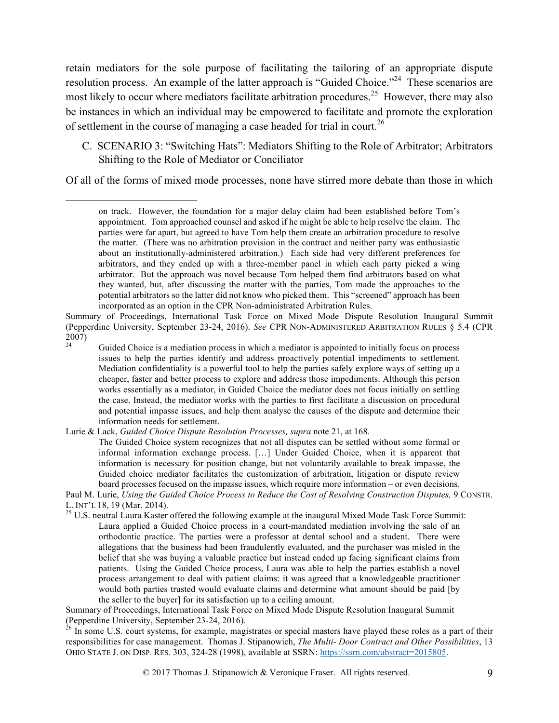retain mediators for the sole purpose of facilitating the tailoring of an appropriate dispute resolution process. An example of the latter approach is "Guided Choice."<sup>24</sup> These scenarios are most likely to occur where mediators facilitate arbitration procedures.<sup>25</sup> However, there may also be instances in which an individual may be empowered to facilitate and promote the exploration of settlement in the course of managing a case headed for trial in court.<sup>26</sup>

C. SCENARIO 3: "Switching Hats": Mediators Shifting to the Role of Arbitrator; Arbitrators Shifting to the Role of Mediator or Conciliator

Of all of the forms of mixed mode processes, none have stirred more debate than those in which

Lurie & Lack, *Guided Choice Dispute Resolution Processes, supra* note 21, at 168.

 $\overline{a}$ 

Summary of Proceedings, International Task Force on Mixed Mode Dispute Resolution Inaugural Summit (Pepperdine University, September 23-24, 2016).<br><sup>26</sup> In some U.S. court systems, for example, magistrates or special masters have played these roles as a part of their

responsibilities for case management. Thomas J. Stipanowich, *The Multi- Door Contract and Other Possibilities*, 13 OHIO STATE J. ON DISP. RES. 303, 324-28 (1998), available at SSRN: https://ssrn.com/abstract=2015805.

on track. However, the foundation for a major delay claim had been established before Tom's appointment. Tom approached counsel and asked if he might be able to help resolve the claim. The parties were far apart, but agreed to have Tom help them create an arbitration procedure to resolve the matter. (There was no arbitration provision in the contract and neither party was enthusiastic about an institutionally-administered arbitration.) Each side had very different preferences for arbitrators, and they ended up with a three-member panel in which each party picked a wing arbitrator. But the approach was novel because Tom helped them find arbitrators based on what they wanted, but, after discussing the matter with the parties, Tom made the approaches to the potential arbitrators so the latter did not know who picked them. This "screened" approach has been incorporated as an option in the CPR Non-administrated Arbitration Rules.

Summary of Proceedings, International Task Force on Mixed Mode Dispute Resolution Inaugural Summit (Pepperdine University, September 23-24, 2016). *See* CPR NON-ADMINISTERED ARBITRATION RULES § 5.4 (CPR  $\frac{2007}{24}$ 

<sup>24</sup> Guided Choice is a mediation process in which a mediator is appointed to initially focus on process issues to help the parties identify and address proactively potential impediments to settlement. Mediation confidentiality is a powerful tool to help the parties safely explore ways of setting up a cheaper, faster and better process to explore and address those impediments. Although this person works essentially as a mediator, in Guided Choice the mediator does not focus initially on settling the case. Instead, the mediator works with the parties to first facilitate a discussion on procedural and potential impasse issues, and help them analyse the causes of the dispute and determine their information needs for settlement.

The Guided Choice system recognizes that not all disputes can be settled without some formal or informal information exchange process. […] Under Guided Choice, when it is apparent that information is necessary for position change, but not voluntarily available to break impasse, the Guided choice mediator facilitates the customization of arbitration, litigation or dispute review board processes focused on the impasse issues, which require more information – or even decisions.

Paul M. Lurie, *Using the Guided Choice Process to Reduce the Cost of Resolving Construction Disputes,* 9 CONSTR.

 $^{25}$  U.S. neutral Laura Kaster offered the following example at the inaugural Mixed Mode Task Force Summit: Laura applied a Guided Choice process in a court-mandated mediation involving the sale of an orthodontic practice. The parties were a professor at dental school and a student. There were allegations that the business had been fraudulently evaluated, and the purchaser was misled in the belief that she was buying a valuable practice but instead ended up facing significant claims from patients. Using the Guided Choice process, Laura was able to help the parties establish a novel process arrangement to deal with patient claims: it was agreed that a knowledgeable practitioner would both parties trusted would evaluate claims and determine what amount should be paid [by the seller to the buyer] for its satisfaction up to a ceiling amount.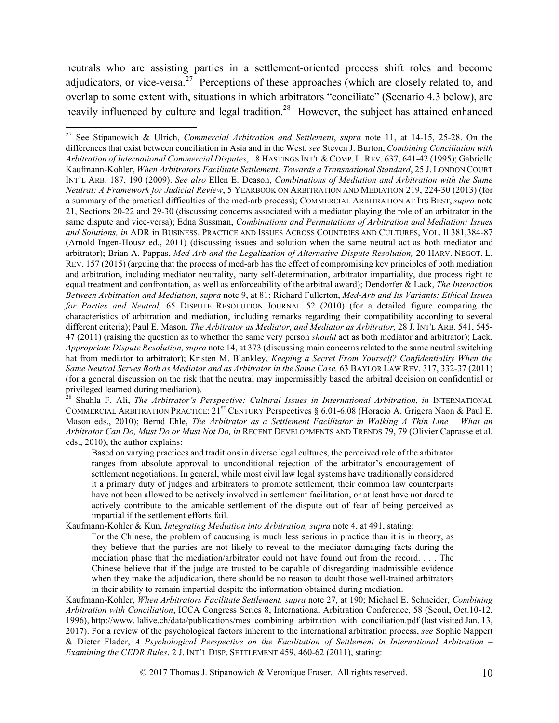neutrals who are assisting parties in a settlement-oriented process shift roles and become adjudicators, or vice-versa.<sup>27</sup> Perceptions of these approaches (which are closely related to, and overlap to some extent with, situations in which arbitrators "conciliate" (Scenario 4.3 below), are heavily influenced by culture and legal tradition.<sup>28</sup> However, the subject has attained enhanced

<sup>28</sup> Shahla F. Ali, *The Arbitrator's Perspective: Cultural Issues in International Arbitration*, *in* INTERNATIONAL COMMERCIAL ARBITRATION PRACTICE: 21<sup>ST</sup> CENTURY Perspectives § 6.01-6.08 (Horacio A. Grigera Naon & Paul E. Mason eds., 2010); Bernd Ehle, *The Arbitrator as a Settlement Facilitator in Walking A Thin Line – What an Arbitrator Can Do, Must Do or Must Not Do, in* RECENT DEVELOPMENTS AND TRENDS 79, 79 (Olivier Caprasse et al. eds., 2010), the author explains:

Based on varying practices and traditions in diverse legal cultures, the perceived role of the arbitrator ranges from absolute approval to unconditional rejection of the arbitrator's encouragement of settlement negotiations. In general, while most civil law legal systems have traditionally considered it a primary duty of judges and arbitrators to promote settlement, their common law counterparts have not been allowed to be actively involved in settlement facilitation, or at least have not dared to actively contribute to the amicable settlement of the dispute out of fear of being perceived as impartial if the settlement efforts fail.

Kaufmann-Kohler & Kun, *Integrating Mediation into Arbitration, supra* note 4, at 491, stating:

For the Chinese, the problem of caucusing is much less serious in practice than it is in theory, as they believe that the parties are not likely to reveal to the mediator damaging facts during the mediation phase that the mediation/arbitrator could not have found out from the record. . . . The Chinese believe that if the judge are trusted to be capable of disregarding inadmissible evidence when they make the adjudication, there should be no reason to doubt those well-trained arbitrators in their ability to remain impartial despite the information obtained during mediation.

Kaufmann-Kohler, *When Arbitrators Facilitate Settlement, supra* note 27, at 190; Michael E. Schneider, *Combining Arbitration with Conciliation*, ICCA Congress Series 8, International Arbitration Conference, 58 (Seoul, Oct.10-12, 1996), http://www. lalive.ch/data/publications/mes\_combining\_arbitration\_with\_conciliation.pdf (last visited Jan. 13, 2017). For a review of the psychological factors inherent to the international arbitration process, *see* Sophie Nappert & Dieter Flader, *A Psychological Perspective on the Facilitation of Settlement in International Arbitration – Examining the CEDR Rules*, 2 J. INT'L DISP. SETTLEMENT 459, 460-62 (2011), stating:

 <sup>27</sup> See Stipanowich & Ulrich, *Commercial Arbitration and Settlement*, *supra* note 11, at 14-15, 25-28. On the differences that exist between conciliation in Asia and in the West, *see* Steven J. Burton, *Combining Conciliation with Arbitration of International Commercial Disputes*, 18 HASTINGS INT'L & COMP. L. REV. 637, 641-42 (1995); Gabrielle Kaufmann-Kohler, *When Arbitrators Facilitate Settlement: Towards a Transnational Standard*, 25 J. LONDON COURT INT'L ARB. 187, 190 (2009). *See also* Ellen E. Deason, *Combinations of Mediation and Arbitration with the Same Neutral: A Framework for Judicial Review*, 5 YEARBOOK ON ARBITRATION AND MEDIATION 219, 224-30 (2013) (for a summary of the practical difficulties of the med-arb process); COMMERCIAL ARBITRATION AT ITS BEST, *supra* note 21, Sections 20-22 and 29-30 (discussing concerns associated with a mediator playing the role of an arbitrator in the same dispute and vice-versa); Edna Sussman, *Combinations and Permutations of Arbitration and Mediation: Issues and Solutions, in* ADR in BUSINESS. PRACTICE AND ISSUES ACROSS COUNTRIES AND CULTURES, VOL. II 381,384-87 (Arnold Ingen-Housz ed., 2011) (discussing issues and solution when the same neutral act as both mediator and arbitrator); Brian A. Pappas, *Med-Arb and the Legalization of Alternative Dispute Resolution,* 20 HARV. NEGOT. L. REV. 157 (2015) (arguing that the process of med-arb has the effect of compromising key principles of both mediation and arbitration, including mediator neutrality, party self-determination, arbitrator impartiality, due process right to equal treatment and confrontation, as well as enforceability of the arbitral award); Dendorfer & Lack, *The Interaction Between Arbitration and Mediation, supra* note 9, at 81; Richard Fullerton, *Med-Arb and Its Variants: Ethical Issues for Parties and Neutral,* 65 DISPUTE RESOLUTION JOURNAL 52 (2010) (for a detailed figure comparing the characteristics of arbitration and mediation, including remarks regarding their compatibility according to several different criteria); Paul E. Mason, *The Arbitrator as Mediator, and Mediator as Arbitrator,* 28 J. INT'L ARB. 541, 545- 47 (2011) (raising the question as to whether the same very person *should* act as both mediator and arbitrator); Lack, *Appropriate Dispute Resolution, supra* note 14, at 373 (discussing main concerns related to the same neutral switching hat from mediator to arbitrator); Kristen M. Blankley, *Keeping a Secret From Yourself? Confidentiality When the Same Neutral Serves Both as Mediator and as Arbitrator in the Same Case,* 63 BAYLOR LAW REV. 317, 332-37 (2011) (for a general discussion on the risk that the neutral may impermissibly based the arbitral decision on confidential or privileged learned during mediation).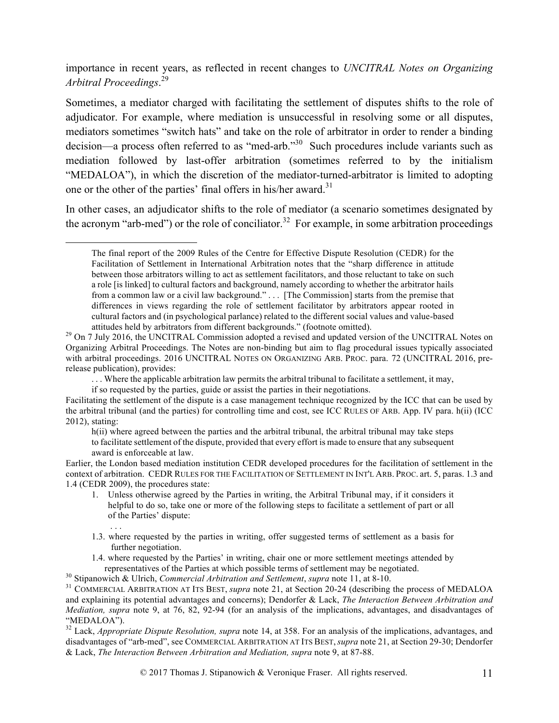importance in recent years, as reflected in recent changes to *UNCITRAL Notes on Organizing Arbitral Proceedings*. 29

Sometimes, a mediator charged with facilitating the settlement of disputes shifts to the role of adjudicator. For example, where mediation is unsuccessful in resolving some or all disputes, mediators sometimes "switch hats" and take on the role of arbitrator in order to render a binding decision—a process often referred to as "med-arb."<sup>30</sup> Such procedures include variants such as mediation followed by last-offer arbitration (sometimes referred to by the initialism "MEDALOA"), in which the discretion of the mediator-turned-arbitrator is limited to adopting one or the other of the parties' final offers in his/her award.<sup>31</sup>

In other cases, an adjudicator shifts to the role of mediator (a scenario sometimes designated by the acronym "arb-med") or the role of conciliator. <sup>32</sup>For example, in some arbitration proceedings

. . . Where the applicable arbitration law permits the arbitral tribunal to facilitate a settlement, it may,

if so requested by the parties, guide or assist the parties in their negotiations.

Earlier, the London based mediation institution CEDR developed procedures for the facilitation of settlement in the context of arbitration. CEDR RULES FOR THE FACILITATION OF SETTLEMENT IN INT'L ARB. PROC. art. 5, paras. 1.3 and 1.4 (CEDR 2009), the procedures state:

- 1. Unless otherwise agreed by the Parties in writing, the Arbitral Tribunal may, if it considers it helpful to do so, take one or more of the following steps to facilitate a settlement of part or all of the Parties' dispute:
- 1.3. where requested by the parties in writing, offer suggested terms of settlement as a basis for further negotiation.
- 1.4. where requested by the Parties' in writing, chair one or more settlement meetings attended by

. . .

The final report of the 2009 Rules of the Centre for Effective Dispute Resolution (CEDR) for the Facilitation of Settlement in International Arbitration notes that the "sharp difference in attitude between those arbitrators willing to act as settlement facilitators, and those reluctant to take on such a role [is linked] to cultural factors and background, namely according to whether the arbitrator hails from a common law or a civil law background." . . . [The Commission] starts from the premise that differences in views regarding the role of settlement facilitator by arbitrators appear rooted in cultural factors and (in psychological parlance) related to the different social values and value-based

attitudes held by arbitrators from different backgrounds." (footnote omitted).<br><sup>29</sup> On 7 July 2016, the UNCITRAL Commission adopted a revised and updated version of the UNCITRAL Notes on Organizing Arbitral Proceedings. The Notes are non-binding but aim to flag procedural issues typically associated with arbitral proceedings. 2016 UNCITRAL NOTES ON ORGANIZING ARB. PROC. para. 72 (UNCITRAL 2016, prerelease publication), provides:

Facilitating the settlement of the dispute is a case management technique recognized by the ICC that can be used by the arbitral tribunal (and the parties) for controlling time and cost, see ICC RULES OF ARB. App. IV para. h(ii) (ICC 2012), stating:

h(ii) where agreed between the parties and the arbitral tribunal, the arbitral tribunal may take steps to facilitate settlement of the dispute, provided that every effort is made to ensure that any subsequent award is enforceable at law.

representatives of the Parties at which possible terms of settlement may be negotiated.<br><sup>30</sup> Stipanowich & Ulrich, *Commercial Arbitration and Settlement*, *supra* note 11, at 8-10.<br><sup>31</sup> COMMERCIAL ARBITRATION AT ITS BEST, and explaining its potential advantages and concerns); Dendorfer & Lack, *The Interaction Between Arbitration and Mediation, supra* note 9, at 76, 82, 92-94 (for an analysis of the implications, advantages, and disadvantages of "MEDALOA"). 32 Lack, *Appropriate Dispute Resolution, supra* note 14, at 358. For an analysis of the implications, advantages, and

disadvantages of "arb-med", see COMMERCIAL ARBITRATION AT ITS BEST,*supra* note 21, at Section 29-30; Dendorfer & Lack, *The Interaction Between Arbitration and Mediation, supra* note 9, at 87-88.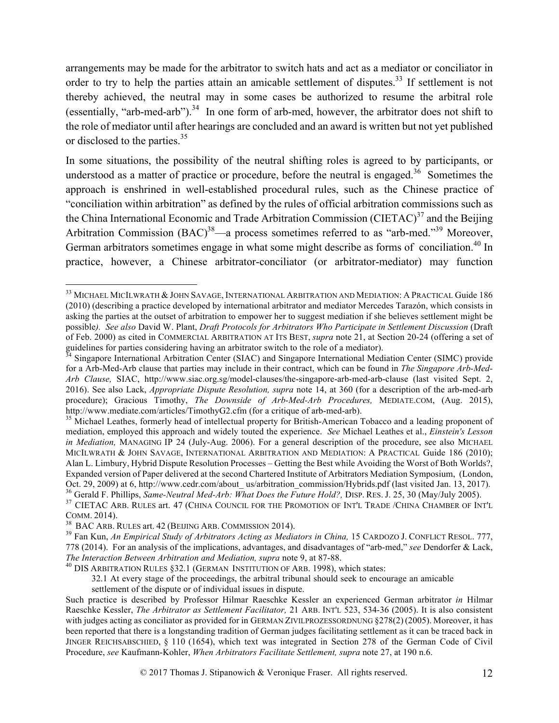arrangements may be made for the arbitrator to switch hats and act as a mediator or conciliator in order to try to help the parties attain an amicable settlement of disputes.<sup>33</sup> If settlement is not thereby achieved, the neutral may in some cases be authorized to resume the arbitral role (essentially, "arb-med-arb").<sup>34</sup> In one form of arb-med, however, the arbitrator does not shift to the role of mediator until after hearings are concluded and an award is written but not yet published or disclosed to the parties.<sup>35</sup>

In some situations, the possibility of the neutral shifting roles is agreed to by participants, or understood as a matter of practice or procedure, before the neutral is engaged.<sup>36</sup> Sometimes the approach is enshrined in well-established procedural rules, such as the Chinese practice of "conciliation within arbitration" as defined by the rules of official arbitration commissions such as the China International Economic and Trade Arbitration Commission (CIETAC)<sup>37</sup> and the Beijing Arbitration Commission (BAC)<sup>38</sup>—a process sometimes referred to as "arb-med."<sup>39</sup> Moreover, German arbitrators sometimes engage in what some might describe as forms of conciliation.<sup>40</sup> In practice, however, a Chinese arbitrator-conciliator (or arbitrator-mediator) may function

settlement of the dispute or of individual issues in dispute.

<sup>&</sup>lt;sup>33</sup> MICHAEL MICILWRATH & JOHN SAVAGE, INTERNATIONAL ARBITRATION AND MEDIATION: A PRACTICAL Guide 186 (2010) (describing a practice developed by international arbitrator and mediator Mercedes Tarazón, which consists in asking the parties at the outset of arbitration to empower her to suggest mediation if she believes settlement might be possible*). See also* David W. Plant, *Draft Protocols for Arbitrators Who Participate in Settlement Discussion* (Draft of Feb. 2000) as cited in COMMERCIAL ARBITRATION AT ITS BEST, *supra* note 21, at Section 20-24 (offering a set of guidelines for parties considering having an arbitrator switch to the role of a mediator).

<sup>&</sup>lt;sup>34</sup> Singapore International Arbitration Center (SIAC) and Singapore International Mediation Center (SIMC) provide for a Arb-Med-Arb clause that parties may include in their contract, which can be found in *The Singapore Arb-Med-Arb Clause,* SIAC, http://www.siac.org.sg/model-clauses/the-singapore-arb-med-arb-clause (last visited Sept. 2, 2016). See also Lack, *Appropriate Dispute Resolution, supra* note 14, at 360 (for a description of the arb-med-arb procedure); Gracious Timothy, *The Downside of Arb-Med-Arb Procedures,* MEDIATE.COM, (Aug. 2015), http://www.mediate.com/articles/TimothyG2.cfm (for a critique of arb-med-arb).<br><sup>35</sup> Michael Leathes, formerly head of intellectual property for British-American Tobacco and a leading proponent of

mediation, employed this approach and widely touted the experience. *See* Michael Leathes et al., *Einstein's Lesson in Mediation,* MANAGING IP 24 (July-Aug. 2006). For a general description of the procedure, see also MICHAEL MICILWRATH & JOHN SAVAGE, INTERNATIONAL ARBITRATION AND MEDIATION: A PRACTICAL Guide 186 (2010); Alan L. Limbury, Hybrid Dispute Resolution Processes – Getting the Best while Avoiding the Worst of Both Worlds?, Expanded version of Paper delivered at the second Chartered Institute of Arbitrators Mediation Symposium, (London, Oct. 29, 2009) at 6, http://www.cedr.com/about\_us/arbitration\_commission/Hybrids.pdf (last visited Jan. 13, 2017).<br><sup>36</sup> Gerald F. Phillips, *Same-Neutral Med-Arb: What Does the Future Hold?*, DISP. RES. J. 25, 30 (May/July

COMM. 2014). 38 BAC ARB. RULES art. <sup>42</sup> (BEIJING ARB. COMMISSION 2014). 39 Fan Kun, *An Empirical Study of Arbitrators Acting as Mediators in China,* 15 CARDOZO J. CONFLICT RESOL. 777, 778 (2014). For an analysis of the implications, advantages, and disadvantages of "arb-med," *see* Dendorfer & Lack,

<sup>&</sup>lt;sup>40</sup> DIS ARBITRATION RULES §32.1 (GERMAN INSTITUTION OF ARB. 1998), which states:

<sup>32.1</sup> At every stage of the proceedings, the arbitral tribunal should seek to encourage an amicable

Such practice is described by Professor Hilmar Raeschke Kessler an experienced German arbitrator *in* Hilmar Raeschke Kessler, *The Arbitrator as Settlement Facilitator,* 21 ARB. INT'L 523, 534-36 (2005). It is also consistent with judges acting as conciliator as provided for in GERMAN ZIVILPROZESSORDNUNG §278(2) (2005). Moreover, it has been reported that there is a longstanding tradition of German judges facilitating settlement as it can be traced back in JINGER REICHSABSCHIED, § 110 (1654), which text was integrated in Section 278 of the German Code of Civil Procedure, *see* Kaufmann-Kohler, *When Arbitrators Facilitate Settlement, supra* note 27, at 190 n.6.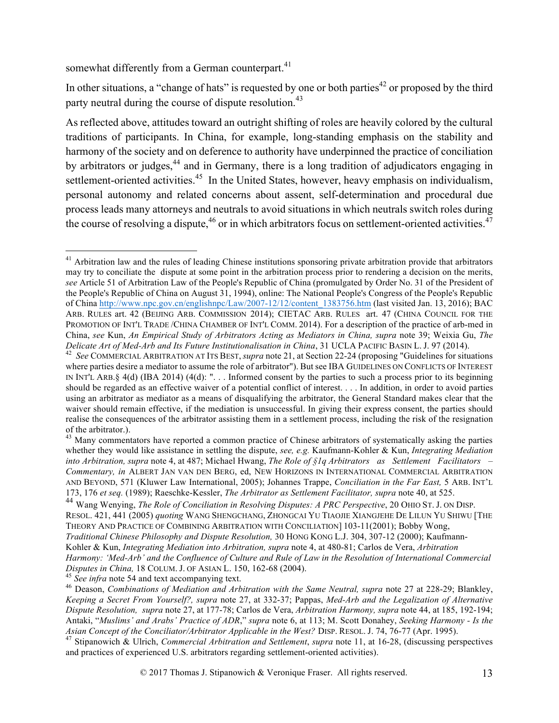somewhat differently from a German counterpart.<sup>41</sup>

In other situations, a "change of hats" is requested by one or both parties<sup>42</sup> or proposed by the third party neutral during the course of dispute resolution.<sup>43</sup>

As reflected above, attitudes toward an outright shifting of roles are heavily colored by the cultural traditions of participants. In China, for example, long-standing emphasis on the stability and harmony of the society and on deference to authority have underpinned the practice of conciliation by arbitrators or judges,<sup>44</sup> and in Germany, there is a long tradition of adjudicators engaging in settlement-oriented activities.<sup>45</sup> In the United States, however, heavy emphasis on individualism, personal autonomy and related concerns about assent, self-determination and procedural due process leads many attorneys and neutrals to avoid situations in which neutrals switch roles during the course of resolving a dispute, $46$  or in which arbitrators focus on settlement-oriented activities. $47$ 

<sup>&</sup>lt;sup>41</sup> Arbitration law and the rules of leading Chinese institutions sponsoring private arbitration provide that arbitrators may try to conciliate the dispute at some point in the arbitration process prior to rendering a decision on the merits, *see* Article 51 of Arbitration Law of the People's Republic of China (promulgated by Order No. 31 of the President of the People's Republic of China on August 31, 1994), online: The National People's Congress of the People's Republic of China http://www.npc.gov.cn/englishnpc/Law/2007-12/12/content\_1383756.htm (last visited Jan. 13, 2016); BAC ARB. RULES art. 42 (BEIJING ARB. COMMISSION 2014); CIETAC ARB. RULES art. 47 (CHINA COUNCIL FOR THE PROMOTION OF INT'L TRADE /CHINA CHAMBER OF INT'L COMM. 2014). For a description of the practice of arb-med in China, *see* Kun, *An Empirical Study of Arbitrators Acting as Mediators in China, supra* note 39; Weixia Gu, *The*  Delicate Art of Med-Arb and Its Future Institutionalisation in China, 31 UCLA PACIFIC BASIN L. J. 97 (2014).<br><sup>42</sup> See COMMERCIAL ARBITRATION AT ITS BEST, *supra* note 21, at Section 22-24 (proposing "Guidelines for situati

where parties desire a mediator to assume the role of arbitrator"). But see IBA GUIDELINES ON CONFLICTS OF INTEREST IN INT'L ARB.§ 4(d) (IBA 2014) (4(d): ". . . Informed consent by the parties to such a process prior to its beginning should be regarded as an effective waiver of a potential conflict of interest. . . . In addition, in order to avoid parties using an arbitrator as mediator as a means of disqualifying the arbitrator, the General Standard makes clear that the waiver should remain effective, if the mediation is unsuccessful. In giving their express consent, the parties should realise the consequences of the arbitrator assisting them in a settlement process, including the risk of the resignation

 $43$  Many commentators have reported a common practice of Chinese arbitrators of systematically asking the parties whether they would like assistance in settling the dispute, *see, e.g.* Kaufmann-Kohler & Kun, *Integrating Mediation into Arbitration, supra* note 4, at 487; Michael Hwang, *The Role of §1q Arbitrators as Settlement Facilitators – Commentary, in* ALBERT JAN VAN DEN BERG, ed, NEW HORIZONS IN INTERNATIONAL COMMERCIAL ARBITRATION AND BEYOND, 571 (Kluwer Law International, 2005); Johannes Trappe, *Conciliation in the Far East,* 5 ARB. INT'L

<sup>173, 176</sup> et seq. (1989); Raeschke-Kessler, The Arbitrator as Settlement Facilitator, supra note 40, at 525.<br><sup>44</sup> Wang Wenying, *The Role of Conciliation in Resolving Disputes: A PRC Perspective*, 20 OHIO ST. J. ON DISP. RESOL. 421, 441 (2005) *quoting* WANG SHENGCHANG, ZHONGCAI YU TIAOJIE XIANGJEHE DE LILUN YU SHIWU [THE THEORY AND PRACTICE OF COMBINING ARBITRATION WITH CONCILIATION] 103-11(2001); Bobby Wong, *Traditional Chinese Philosophy and Dispute Resolution,* 30 HONG KONG L.J. 304, 307-12 (2000); Kaufmann-Kohler & Kun, *Integrating Mediation into Arbitration, supra* note 4, at 480-81; Carlos de Vera, *Arbitration Harmony: 'Med-Arb' and the Confluence of Culture and Rule of Law in the Resolution of International Commercial*  Disputes in China, 18 COLUM. J. OF ASIAN L. 150, 162-68 (2004).<br><sup>45</sup> See infra note 54 and text accompanying text.<br><sup>46</sup> Deason, Combinations of Mediation and Arbitration with the Same Neutral, supra note 27 at 228-29; Blan

*Keeping a Secret From Yourself?, supra* note 27, at 332-37; Pappas, *Med-Arb and the Legalization of Alternative Dispute Resolution, supra* note 27, at 177-78; Carlos de Vera, *Arbitration Harmony, supra* note 44, at 185, 192-194; Antaki, "*Muslims' and Arabs' Practice of ADR*," *supra* note 6, at 113; M. Scott Donahey, *Seeking Harmony - Is the*  Asian Concept of the Conciliator/Arbitrator Applicable in the West? DISP. RESOL. J. 74, 76-77 (Apr. 1995).<br><sup>47</sup> Stinanowich & Ulrich, Commercial Arbitration and Settlement, supra note 11, at 16-28, (discussing perspective

and practices of experienced U.S. arbitrators regarding settlement-oriented activities).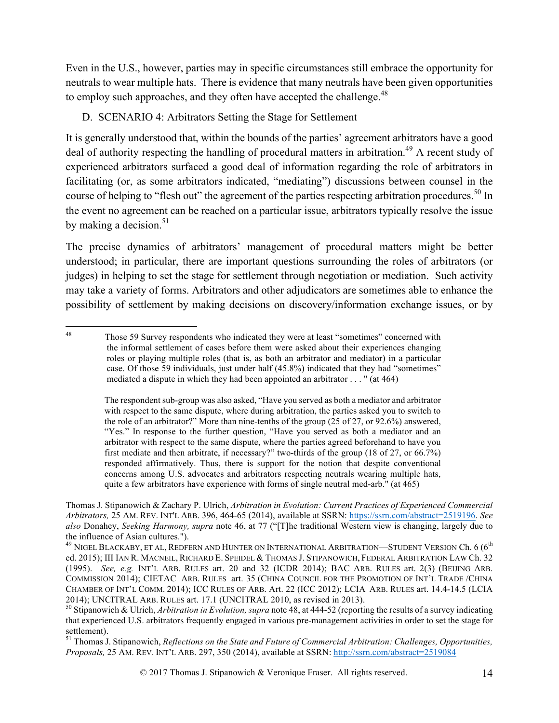Even in the U.S., however, parties may in specific circumstances still embrace the opportunity for neutrals to wear multiple hats. There is evidence that many neutrals have been given opportunities to employ such approaches, and they often have accepted the challenge.<sup>48</sup>

## D. SCENARIO 4: Arbitrators Setting the Stage for Settlement

It is generally understood that, within the bounds of the parties' agreement arbitrators have a good deal of authority respecting the handling of procedural matters in arbitration.<sup>49</sup> A recent study of experienced arbitrators surfaced a good deal of information regarding the role of arbitrators in facilitating (or, as some arbitrators indicated, "mediating") discussions between counsel in the course of helping to "flesh out" the agreement of the parties respecting arbitration procedures.<sup>50</sup> In the event no agreement can be reached on a particular issue, arbitrators typically resolve the issue by making a decision. $51$ 

The precise dynamics of arbitrators' management of procedural matters might be better understood; in particular, there are important questions surrounding the roles of arbitrators (or judges) in helping to set the stage for settlement through negotiation or mediation. Such activity may take a variety of forms. Arbitrators and other adjudicators are sometimes able to enhance the possibility of settlement by making decisions on discovery/information exchange issues, or by

<sup>51</sup> Thomas J. Stipanowich, *Reflections on the State and Future of Commercial Arbitration: Challenges, Opportunities, Proposals,* 25 AM. REV. INT'L ARB. 297, 350 (2014), available at SSRN: http://ssrn.com/abstract=2519084

 <sup>48</sup> Those 59 Survey respondents who indicated they were at least "sometimes" concerned with the informal settlement of cases before them were asked about their experiences changing roles or playing multiple roles (that is, as both an arbitrator and mediator) in a particular case. Of those 59 individuals, just under half (45.8%) indicated that they had "sometimes" mediated a dispute in which they had been appointed an arbitrator . . . " (at 464)

The respondent sub-group was also asked, "Have you served as both a mediator and arbitrator with respect to the same dispute, where during arbitration, the parties asked you to switch to the role of an arbitrator?" More than nine-tenths of the group (25 of 27, or 92.6%) answered, "Yes." In response to the further question, "Have you served as both a mediator and an arbitrator with respect to the same dispute, where the parties agreed beforehand to have you first mediate and then arbitrate, if necessary?" two-thirds of the group (18 of 27, or 66.7%) responded affirmatively. Thus, there is support for the notion that despite conventional concerns among U.S. advocates and arbitrators respecting neutrals wearing multiple hats, quite a few arbitrators have experience with forms of single neutral med-arb." (at 465)

Thomas J. Stipanowich & Zachary P. Ulrich, *Arbitration in Evolution: Current Practices of Experienced Commercial Arbitrators,* 25 AM. REV. INT'L ARB. 396, 464-65 (2014), available at SSRN: https://ssrn.com/abstract=2519196. *See also* Donahey, *Seeking Harmony, supra* note 46, at 77 ("[T]he traditional Western view is changing, largely due to the influence of Asian cultures.").<br><sup>49</sup> NIGEL BLACKABY, ET AL, REDFERN AND HUNTER ON INTERNATIONAL ARBITRATION—STUDENT VERSION Ch. 6 (6<sup>th</sup>

ed. 2015); III IAN R. MACNEIL, RICHARD E. SPEIDEL & THOMAS J. STIPANOWICH, FEDERAL ARBITRATION LAW Ch. 32 (1995). *See, e.g.* INT'L ARB. RULES art. 20 and 32 (ICDR 2014); BAC ARB. RULES art. 2(3) (BEIJING ARB. COMMISSION 2014); CIETAC ARB. RULES art. 35 (CHINA COUNCIL FOR THE PROMOTION OF INT'L TRADE /CHINA CHAMBER OF INT'L COMM. 2014); ICC RULES OF ARB. Art. 22 (ICC 2012); LCIA ARB. RULES art. 14.4-14.5 (LCIA 2014); UNCITRAL ARB. RULES art. 17.1 (UNCITRAL 2010, as revised in 2013).

<sup>&</sup>lt;sup>50</sup> Stipanowich & Ulrich, *Arbitration in Evolution, supra* note 48, at 444-52 (reporting the results of a survey indicating that experienced U.S. arbitrators frequently engaged in various pre-management activities in order to set the stage for settlement).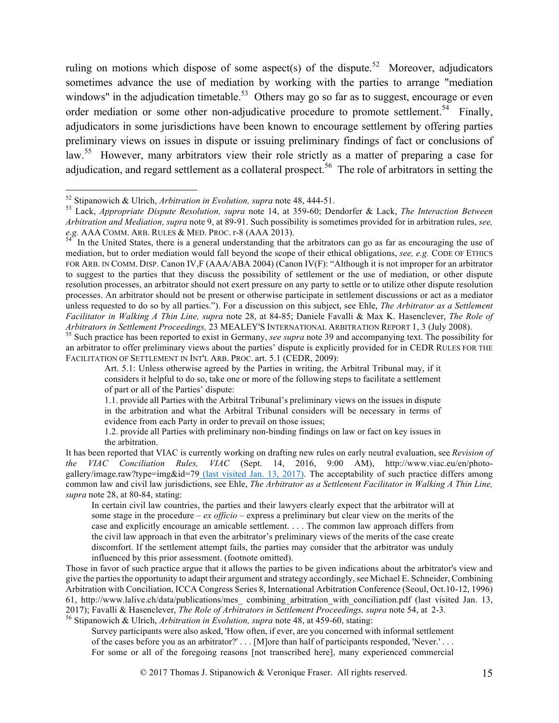ruling on motions which dispose of some aspect(s) of the dispute.<sup>52</sup> Moreover, adjudicators sometimes advance the use of mediation by working with the parties to arrange "mediation windows" in the adjudication timetable.<sup>53</sup> Others may go so far as to suggest, encourage or even order mediation or some other non-adjudicative procedure to promote settlement.<sup>54</sup> Finally, adjudicators in some jurisdictions have been known to encourage settlement by offering parties preliminary views on issues in dispute or issuing preliminary findings of fact or conclusions of law.<sup>55</sup> However, many arbitrators view their role strictly as a matter of preparing a case for adjudication, and regard settlement as a collateral prospect.<sup>56</sup> The role of arbitrators in setting the

an arbitrator to offer preliminary views about the parties' dispute is explicitly provided for in CEDR RULES FOR THE FACILITATION OF SETTLEMENT IN INT'L ARB. PROC. art. 5.1 (CEDR, 2009):

Those in favor of such practice argue that it allows the parties to be given indications about the arbitrator's view and give the parties the opportunity to adapt their argument and strategy accordingly, see Michael E. Schneider, Combining Arbitration with Conciliation, ICCA Congress Series 8, International Arbitration Conference (Seoul, Oct.10-12, 1996) 61, http://www.lalive.ch/data/publications/mes\_ combining\_arbitration\_with\_conciliation.pdf (last visited Jan. 13, 2017); Favalli & Hasenclever, *The Role of Arbitrators in Settlement Proceedings, supra* note 54, at 2-3. <sup>56</sup> Stipanowich & Ulrich, *Arbitration in Evolution, supra* note 48, at 459-60, stating:

Survey participants were also asked, 'How often, if ever, are you concerned with informal settlement of the cases before you as an arbitrator?' . . . [M]ore than half of participants responded, 'Never.' . . . For some or all of the foregoing reasons [not transcribed here], many experienced commercial

<sup>52</sup> Stipanowich & Ulrich, *Arbitration in Evolution, supra* note 48, 444-51. <sup>53</sup> Lack, *Appropriate Dispute Resolution, supra* note 14, at 359-60; Dendorfer & Lack, *The Interaction Between Arbitration and Mediation, supra* note 9, at 89-91. Such possibility is sometimes provided for in arbitration rules, *see,*

In the United States, there is a general understanding that the arbitrators can go as far as encouraging the use of mediation, but to order mediation would fall beyond the scope of their ethical obligations, *see, e.g.* CODE OF ETHICS FOR ARB. IN COMM. DISP. Canon IV,F (AAA/ABA 2004) (Canon IV(F): "Although it is not improper for an arbitrator to suggest to the parties that they discuss the possibility of settlement or the use of mediation, or other dispute resolution processes, an arbitrator should not exert pressure on any party to settle or to utilize other dispute resolution processes. An arbitrator should not be present or otherwise participate in settlement discussions or act as a mediator unless requested to do so by all parties."). For a discussion on this subject, see Ehle, *The Arbitrator as a Settlement Facilitator in Walking A Thin Line, supra* note 28, at 84-85; Daniele Favalli & Max K. Hasenclever, *The Role of*  Arbitrators in Settlement Proceedings, 23 MEALEY'S INTERNATIONAL ARBITRATION REPORT 1, 3 (July 2008).<br><sup>55</sup> Such practice has been reported to exist in Germany, *see supra* note 39 and accompanying text. The possibility for

Art. 5.1: Unless otherwise agreed by the Parties in writing, the Arbitral Tribunal may, if it considers it helpful to do so, take one or more of the following steps to facilitate a settlement of part or all of the Parties' dispute:

<sup>1.1.</sup> provide all Parties with the Arbitral Tribunal's preliminary views on the issues in dispute in the arbitration and what the Arbitral Tribunal considers will be necessary in terms of evidence from each Party in order to prevail on those issues;

<sup>1.2.</sup> provide all Parties with preliminary non-binding findings on law or fact on key issues in the arbitration.

It has been reported that VIAC is currently working on drafting new rules on early neutral evaluation, see *Revision of the VIAC Conciliation Rules, VIAC* (Sept. 14, 2016, 9:00 AM), http://www.viac.eu/en/photogallery/image.raw?type=img&id=79 (last visited Jan. 13, 2017). The acceptability of such practice differs among common law and civil law jurisdictions, see Ehle, *The Arbitrator as a Settlement Facilitator in Walking A Thin Line, supra* note 28, at 80-84, stating:

In certain civil law countries, the parties and their lawyers clearly expect that the arbitrator will at some stage in the procedure – *ex officio* – express a preliminary but clear view on the merits of the case and explicitly encourage an amicable settlement. . . . The common law approach differs from the civil law approach in that even the arbitrator's preliminary views of the merits of the case create discomfort. If the settlement attempt fails, the parties may consider that the arbitrator was unduly influenced by this prior assessment. (footnote omitted).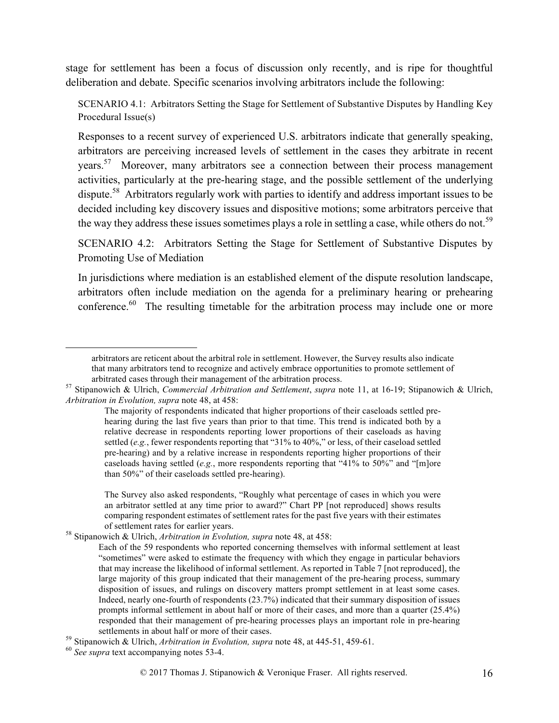stage for settlement has been a focus of discussion only recently, and is ripe for thoughtful deliberation and debate. Specific scenarios involving arbitrators include the following:

SCENARIO 4.1: Arbitrators Setting the Stage for Settlement of Substantive Disputes by Handling Key Procedural Issue(s)

Responses to a recent survey of experienced U.S. arbitrators indicate that generally speaking, arbitrators are perceiving increased levels of settlement in the cases they arbitrate in recent years.<sup>57</sup> Moreover, many arbitrators see a connection between their process management activities, particularly at the pre-hearing stage, and the possible settlement of the underlying dispute.58 Arbitrators regularly work with parties to identify and address important issues to be decided including key discovery issues and dispositive motions; some arbitrators perceive that the way they address these issues sometimes plays a role in settling a case, while others do not.<sup>59</sup>

SCENARIO 4.2: Arbitrators Setting the Stage for Settlement of Substantive Disputes by Promoting Use of Mediation

In jurisdictions where mediation is an established element of the dispute resolution landscape, arbitrators often include mediation on the agenda for a preliminary hearing or prehearing conference.<sup>60</sup> The resulting timetable for the arbitration process may include one or more

 $\overline{a}$ 

arbitrators are reticent about the arbitral role in settlement. However, the Survey results also indicate that many arbitrators tend to recognize and actively embrace opportunities to promote settlement of

arbitrated cases through their management of the arbitration process. <sup>57</sup> Stipanowich & Ulrich, *Commercial Arbitration and Settlement*, *supra* note 11, at 16-19; Stipanowich & Ulrich, *Arbitration in Evolution, supra* note 48, at 458:

The majority of respondents indicated that higher proportions of their caseloads settled prehearing during the last five years than prior to that time. This trend is indicated both by a relative decrease in respondents reporting lower proportions of their caseloads as having settled (*e.g.*, fewer respondents reporting that "31% to 40%," or less, of their caseload settled pre-hearing) and by a relative increase in respondents reporting higher proportions of their caseloads having settled (*e.g.*, more respondents reporting that "41% to 50%" and "[m]ore than 50%" of their caseloads settled pre-hearing).

The Survey also asked respondents, "Roughly what percentage of cases in which you were an arbitrator settled at any time prior to award?" Chart PP [not reproduced] shows results comparing respondent estimates of settlement rates for the past five years with their estimates

of settlement rates for earlier years. <sup>58</sup> Stipanowich & Ulrich, *Arbitration in Evolution, supra* note 48, at 458:

Each of the 59 respondents who reported concerning themselves with informal settlement at least "sometimes" were asked to estimate the frequency with which they engage in particular behaviors that may increase the likelihood of informal settlement. As reported in Table 7 [not reproduced], the large majority of this group indicated that their management of the pre-hearing process, summary disposition of issues, and rulings on discovery matters prompt settlement in at least some cases. Indeed, nearly one-fourth of respondents (23.7%) indicated that their summary disposition of issues prompts informal settlement in about half or more of their cases, and more than a quarter (25.4%) responded that their management of pre-hearing processes plays an important role in pre-hearing

settlements in about half or more of their cases. <sup>59</sup> Stipanowich & Ulrich, *Arbitration in Evolution, supra* note 48, at 445-51, 459-61. <sup>60</sup> *See supra* text accompanying notes 53-4.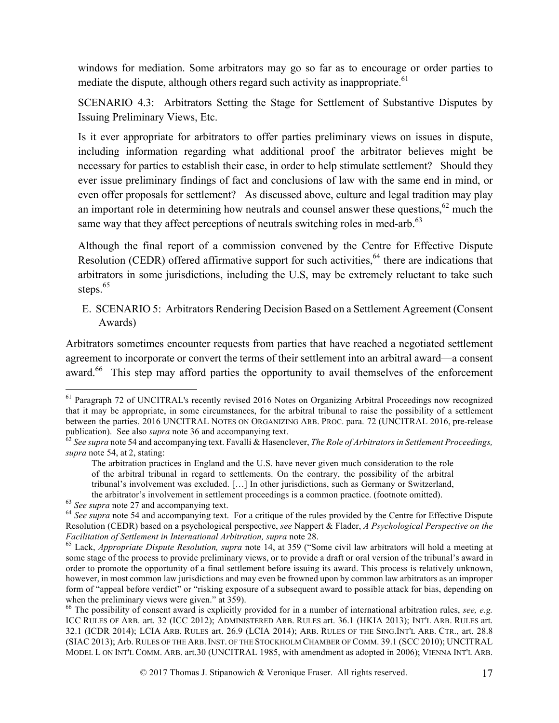windows for mediation. Some arbitrators may go so far as to encourage or order parties to mediate the dispute, although others regard such activity as inappropriate.<sup>61</sup>

SCENARIO 4.3: Arbitrators Setting the Stage for Settlement of Substantive Disputes by Issuing Preliminary Views, Etc.

Is it ever appropriate for arbitrators to offer parties preliminary views on issues in dispute, including information regarding what additional proof the arbitrator believes might be necessary for parties to establish their case, in order to help stimulate settlement? Should they ever issue preliminary findings of fact and conclusions of law with the same end in mind, or even offer proposals for settlement? As discussed above, culture and legal tradition may play an important role in determining how neutrals and counsel answer these questions,  $62$  much the same way that they affect perceptions of neutrals switching roles in med-arb.<sup>63</sup>

Although the final report of a commission convened by the Centre for Effective Dispute Resolution (CEDR) offered affirmative support for such activities,<sup>64</sup> there are indications that arbitrators in some jurisdictions, including the U.S, may be extremely reluctant to take such steps.<sup>65</sup>

E. SCENARIO 5: Arbitrators Rendering Decision Based on a Settlement Agreement (Consent Awards)

Arbitrators sometimes encounter requests from parties that have reached a negotiated settlement agreement to incorporate or convert the terms of their settlement into an arbitral award—a consent award.<sup>66</sup> This step may afford parties the opportunity to avail themselves of the enforcement

<sup>&</sup>lt;sup>61</sup> Paragraph 72 of UNCITRAL's recently revised 2016 Notes on Organizing Arbitral Proceedings now recognized that it may be appropriate, in some circumstances, for the arbitral tribunal to raise the possibility of a settlement between the parties. 2016 UNCITRAL NOTES ON ORGANIZING ARB. PROC. para. 72 (UNCITRAL 2016, pre-release publication). See also *supra* note 36 and accompanying text.

<sup>&</sup>lt;sup> $62$ </sup> See supra note 54 and accompanying text. Favalli & Hasenclever, *The Role of Arbitrators in Settlement Proceedings*, *supra* note 54, at 2, stating:

The arbitration practices in England and the U.S. have never given much consideration to the role of the arbitral tribunal in regard to settlements. On the contrary, the possibility of the arbitral tribunal's involvement was excluded. […] In other jurisdictions, such as Germany or Switzerland,

the arbitrator's involvement in settlement proceedings is a common practice. (footnote omitted).<br><sup>63</sup> See supra note 27 and accompanying text.<br><sup>64</sup> See supra note 54 and accompanying text. For a critique of the rules provi Resolution (CEDR) based on a psychological perspective, *see* Nappert & Flader, *A Psychological Perspective on the Facilitation of Settlement in International Arbitration, supra* note 28.<br><sup>65</sup> Lack, *Appropriate Dispute Resolution, supra* note 14, at 359 ("Some civil law arbitrators will hold a meeting at

some stage of the process to provide preliminary views, or to provide a draft or oral version of the tribunal's award in order to promote the opportunity of a final settlement before issuing its award. This process is relatively unknown, however, in most common law jurisdictions and may even be frowned upon by common law arbitrators as an improper form of "appeal before verdict" or "risking exposure of a subsequent award to possible attack for bias, depending on when the preliminary views were given." at 359).

<sup>66</sup> The possibility of consent award is explicitly provided for in a number of international arbitration rules, *see, e.g.* ICC RULES OF ARB. art. 32 (ICC 2012); ADMINISTERED ARB. RULES art. 36.1 (HKIA 2013); INT'L ARB. RULES art. 32.1 (ICDR 2014); LCIA ARB. RULES art. 26.9 (LCIA 2014); ARB. RULES OF THE SING.INT'L ARB. CTR., art. 28.8 (SIAC 2013); Arb. RULES OF THE ARB. INST. OF THE STOCKHOLM CHAMBER OF COMM. 39.1 (SCC 2010); UNCITRAL MODEL L ON INT'L COMM. ARB. art.30 (UNCITRAL 1985, with amendment as adopted in 2006); VIENNA INT'L ARB.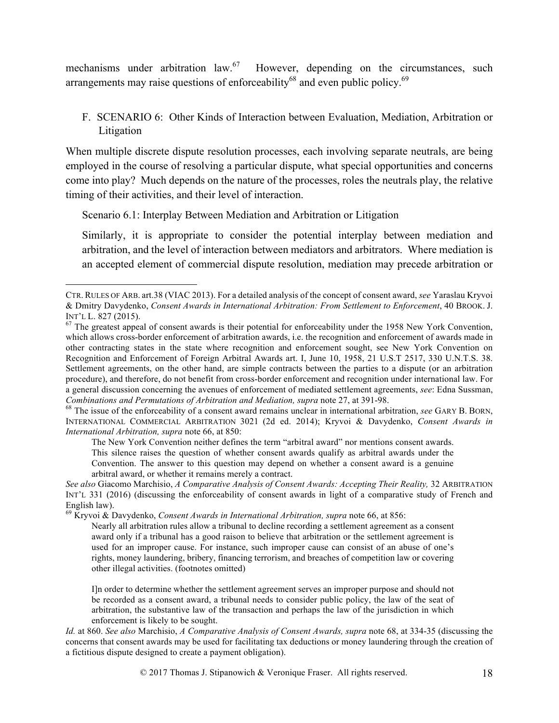mechanisms under arbitration law.<sup>67</sup> However, depending on the circumstances, such arrangements may raise questions of enforceability<sup>68</sup> and even public policy.<sup>69</sup>

F. SCENARIO 6: Other Kinds of Interaction between Evaluation, Mediation, Arbitration or Litigation

When multiple discrete dispute resolution processes, each involving separate neutrals, are being employed in the course of resolving a particular dispute, what special opportunities and concerns come into play? Much depends on the nature of the processes, roles the neutrals play, the relative timing of their activities, and their level of interaction.

Scenario 6.1: Interplay Between Mediation and Arbitration or Litigation

Similarly, it is appropriate to consider the potential interplay between mediation and arbitration, and the level of interaction between mediators and arbitrators. Where mediation is an accepted element of commercial dispute resolution, mediation may precede arbitration or

<sup>69</sup> Kryvoi & Davydenko, *Consent Awards in International Arbitration, supra* note 66, at 856:

Nearly all arbitration rules allow a tribunal to decline recording a settlement agreement as a consent award only if a tribunal has a good raison to believe that arbitration or the settlement agreement is used for an improper cause. For instance, such improper cause can consist of an abuse of one's rights, money laundering, bribery, financing terrorism, and breaches of competition law or covering other illegal activities. (footnotes omitted)

I]n order to determine whether the settlement agreement serves an improper purpose and should not be recorded as a consent award, a tribunal needs to consider public policy, the law of the seat of arbitration, the substantive law of the transaction and perhaps the law of the jurisdiction in which enforcement is likely to be sought.

*Id.* at 860. *See also* Marchisio, *A Comparative Analysis of Consent Awards, supra* note 68, at 334-35 (discussing the concerns that consent awards may be used for facilitating tax deductions or money laundering through the creation of a fictitious dispute designed to create a payment obligation).

CTR. RULES OF ARB. art.38 (VIAC 2013). For a detailed analysis of the concept of consent award, *see* Yaraslau Kryvoi & Dmitry Davydenko, *Consent Awards in International Arbitration: From Settlement to Enforcement*, 40 BROOK. J.

 $<sup>67</sup>$  The greatest appeal of consent awards is their potential for enforceability under the 1958 New York Convention,</sup> which allows cross-border enforcement of arbitration awards, i.e. the recognition and enforcement of awards made in other contracting states in the state where recognition and enforcement sought, see New York Convention on Recognition and Enforcement of Foreign Arbitral Awards art. I, June 10, 1958, 21 U.S.T 2517, 330 U.N.T.S. 38. Settlement agreements, on the other hand, are simple contracts between the parties to a dispute (or an arbitration procedure), and therefore, do not benefit from cross-border enforcement and recognition under international law. For a general discussion concerning the avenues of enforcement of mediated settlement agreements, *see*: Edna Sussman, *Combinations and Permutations of Arbitration and Mediation, supra note 27, at 391-98.*<br><sup>68</sup> The issue of the enforceability of a consent award remains unclear in international arbitration, *see* GARY B. BORN,

INTERNATIONAL COMMERCIAL ARBITRATION 3021 (2d ed. 2014); Kryvoi & Davydenko, *Consent Awards in International Arbitration, supra* note 66, at 850:

The New York Convention neither defines the term "arbitral award" nor mentions consent awards. This silence raises the question of whether consent awards qualify as arbitral awards under the Convention. The answer to this question may depend on whether a consent award is a genuine arbitral award, or whether it remains merely a contract.

*See also* Giacomo Marchisio, *A Comparative Analysis of Consent Awards: Accepting Their Reality,* 32 ARBITRATION INT'L 331 (2016) (discussing the enforceability of consent awards in light of a comparative study of French and English law).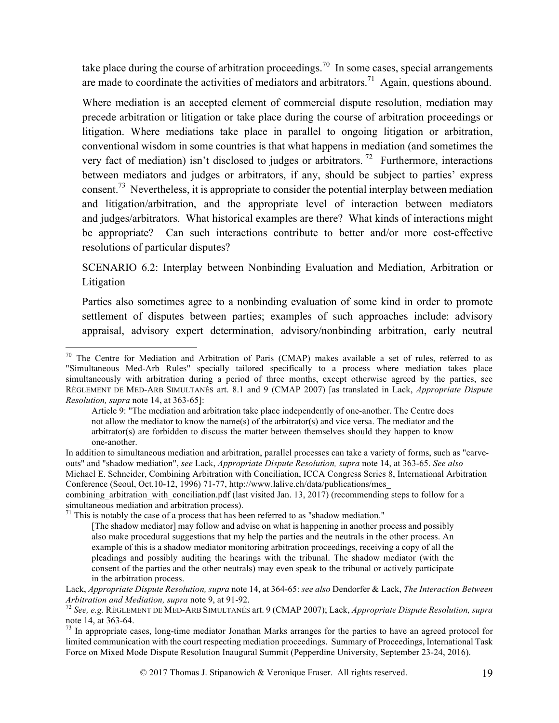take place during the course of arbitration proceedings.<sup>70</sup> In some cases, special arrangements are made to coordinate the activities of mediators and arbitrators.<sup>71</sup> Again, questions abound.

Where mediation is an accepted element of commercial dispute resolution, mediation may precede arbitration or litigation or take place during the course of arbitration proceedings or litigation. Where mediations take place in parallel to ongoing litigation or arbitration, conventional wisdom in some countries is that what happens in mediation (and sometimes the very fact of mediation) isn't disclosed to judges or arbitrators.<sup>72</sup> Furthermore, interactions between mediators and judges or arbitrators, if any, should be subject to parties' express consent.<sup>73</sup> Nevertheless, it is appropriate to consider the potential interplay between mediation and litigation/arbitration, and the appropriate level of interaction between mediators and judges/arbitrators. What historical examples are there? What kinds of interactions might be appropriate? Can such interactions contribute to better and/or more cost-effective resolutions of particular disputes?

SCENARIO 6.2: Interplay between Nonbinding Evaluation and Mediation, Arbitration or Litigation

Parties also sometimes agree to a nonbinding evaluation of some kind in order to promote settlement of disputes between parties; examples of such approaches include: advisory appraisal, advisory expert determination, advisory/nonbinding arbitration, early neutral

 $71$  This is notably the case of a process that has been referred to as "shadow mediation."

<sup>&</sup>lt;sup>70</sup> The Centre for Mediation and Arbitration of Paris (CMAP) makes available a set of rules, referred to as "Simultaneous Med-Arb Rules" specially tailored specifically to a process where mediation takes place simultaneously with arbitration during a period of three months, except otherwise agreed by the parties, see RÈGLEMENT DE MED-ARB SIMULTANÉS art. 8.1 and 9 (CMAP 2007) [as translated in Lack, *Appropriate Dispute Resolution, supra* note 14, at 363-65]:

Article 9: "The mediation and arbitration take place independently of one-another. The Centre does not allow the mediator to know the name(s) of the arbitrator(s) and vice versa. The mediator and the arbitrator(s) are forbidden to discuss the matter between themselves should they happen to know one-another.

In addition to simultaneous mediation and arbitration, parallel processes can take a variety of forms, such as "carveouts" and "shadow mediation", *see* Lack, *Appropriate Dispute Resolution, supra* note 14, at 363-65. *See also* Michael E. Schneider, Combining Arbitration with Conciliation, ICCA Congress Series 8, International Arbitration Conference (Seoul, Oct.10-12, 1996) 71-77, http://www.lalive.ch/data/publications/mes\_

combining arbitration with conciliation.pdf (last visited Jan. 13, 2017) (recommending steps to follow for a simultaneous mediation and arbitration process).

<sup>[</sup>The shadow mediator] may follow and advise on what is happening in another process and possibly also make procedural suggestions that my help the parties and the neutrals in the other process. An example of this is a shadow mediator monitoring arbitration proceedings, receiving a copy of all the pleadings and possibly auditing the hearings with the tribunal. The shadow mediator (with the consent of the parties and the other neutrals) may even speak to the tribunal or actively participate in the arbitration process.

Lack, *Appropriate Dispute Resolution, supra* note 14, at 364-65: *see also* Dendorfer & Lack, *The Interaction Between* 

*Arbitration and Mediation, supra* note 9, at 91-92.<br><sup>72</sup> *See, e.g.* RÈGLEMENT DE MED-ARB SIMULTANÉS art. 9 (CMAP 2007); Lack, *Appropriate Dispute Resolution, supra* note 14, at 363-64.

 $73$  In appropriate cases, long-time mediator Jonathan Marks arranges for the parties to have an agreed protocol for limited communication with the court respecting mediation proceedings. Summary of Proceedings, International Task Force on Mixed Mode Dispute Resolution Inaugural Summit (Pepperdine University, September 23-24, 2016).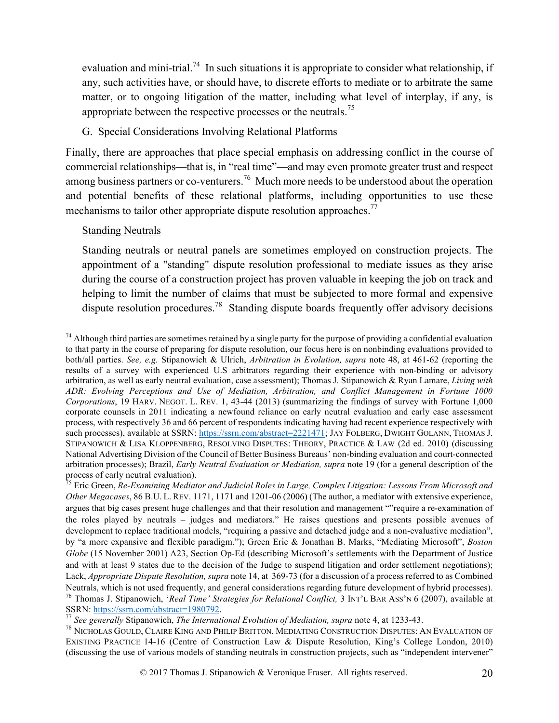evaluation and mini-trial.<sup>74</sup> In such situations it is appropriate to consider what relationship, if any, such activities have, or should have, to discrete efforts to mediate or to arbitrate the same matter, or to ongoing litigation of the matter, including what level of interplay, if any, is appropriate between the respective processes or the neutrals.<sup>75</sup>

#### G. Special Considerations Involving Relational Platforms

Finally, there are approaches that place special emphasis on addressing conflict in the course of commercial relationships—that is, in "real time"—and may even promote greater trust and respect among business partners or co-venturers.<sup>76</sup> Much more needs to be understood about the operation and potential benefits of these relational platforms, including opportunities to use these mechanisms to tailor other appropriate dispute resolution approaches.<sup>77</sup>

#### Standing Neutrals

Standing neutrals or neutral panels are sometimes employed on construction projects. The appointment of a "standing" dispute resolution professional to mediate issues as they arise during the course of a construction project has proven valuable in keeping the job on track and helping to limit the number of claims that must be subjected to more formal and expensive dispute resolution procedures.<sup>78</sup> Standing dispute boards frequently offer advisory decisions

 $74$  Although third parties are sometimes retained by a single party for the purpose of providing a confidential evaluation to that party in the course of preparing for dispute resolution, our focus here is on nonbinding evaluations provided to both/all parties. *See, e.g.* Stipanowich & Ulrich, *Arbitration in Evolution, supra* note 48, at 461-62 (reporting the results of a survey with experienced U.S arbitrators regarding their experience with non-binding or advisory arbitration, as well as early neutral evaluation, case assessment); Thomas J. Stipanowich & Ryan Lamare, *Living with ADR: Evolving Perceptions and Use of Mediation, Arbitration, and Conflict Management in Fortune 1000 Corporations*, 19 HARV. NEGOT. L. REV. 1, 43-44 (2013) (summarizing the findings of survey with Fortune 1,000 corporate counsels in 2011 indicating a newfound reliance on early neutral evaluation and early case assessment process, with respectively 36 and 66 percent of respondents indicating having had recent experience respectively with such processes), available at SSRN: https://ssrn.com/abstract=2221471; JAY FOLBERG, DWIGHT GOLANN, THOMAS J. STIPANOWICH & LISA KLOPPENBERG, RESOLVING DISPUTES: THEORY, PRACTICE & LAW (2d ed. 2010) (discussing National Advertising Division of the Council of Better Business Bureaus' non-binding evaluation and court-connected arbitration processes); Brazil, *Early Neutral Evaluation or Mediation, supra* note 19 (for a general description of the process of early neutral evaluation).<br><sup>75</sup> Eric Green, *Re-Examining Mediator and Judicial Roles in Large, Complex Litigation: Lessons From Microsoft and* 

*Other Megacases*, 86 B.U. L. REV. 1171, 1171 and 1201-06 (2006) (The author, a mediator with extensive experience, argues that big cases present huge challenges and that their resolution and management ""require a re-examination of the roles played by neutrals – judges and mediators." He raises questions and presents possible avenues of development to replace traditional models, "requiring a passive and detached judge and a non-evaluative mediation", by "a more expansive and flexible paradigm."); Green Eric & Jonathan B. Marks, "Mediating Microsoft", *Boston Globe* (15 November 2001) A23, Section Op-Ed (describing Microsoft's settlements with the Department of Justice and with at least 9 states due to the decision of the Judge to suspend litigation and order settlement negotiations); Lack, *Appropriate Dispute Resolution, supra* note 14, at 369-73 (for a discussion of a process referred to as Combined Neutrals, which is not used frequently, and general considerations regarding future development of hybrid processes).<br><sup>76</sup> Thomas J. Stipanowich, *'Real Time' Strategies for Relational Conflict*, 3 INT'L BAR ASS'N 6 (2007)

<sup>&</sup>lt;sup>77</sup> See generally Stipanowich, *The International Evolution of Mediation, supra* note 4, at 1233-43.

<sup>78</sup> NICHOLAS GOULD, CLAIRE KING AND PHILIP BRITTON, MEDIATING CONSTRUCTION DISPUTES: AN EVALUATION OF EXISTING PRACTICE 14-16 (Centre of Construction Law & Dispute Resolution, King's College London, 2010) (discussing the use of various models of standing neutrals in construction projects, such as "independent intervener"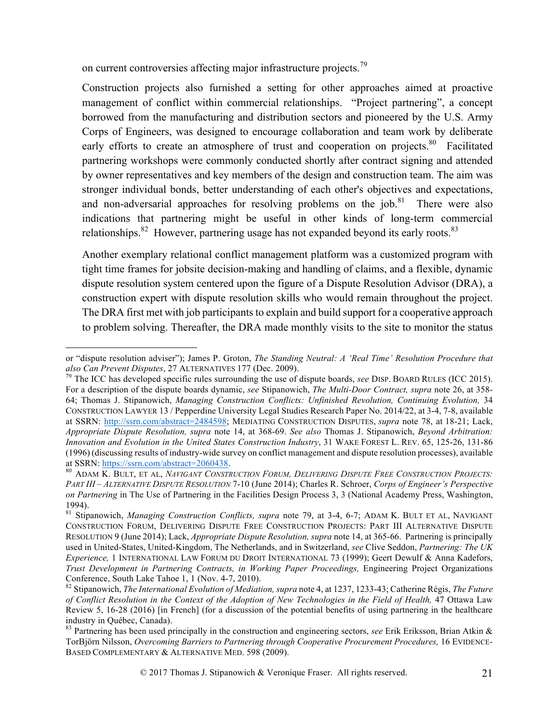on current controversies affecting major infrastructure projects.<sup>79</sup>

 $\overline{a}$ 

Construction projects also furnished a setting for other approaches aimed at proactive management of conflict within commercial relationships. "Project partnering", a concept borrowed from the manufacturing and distribution sectors and pioneered by the U.S. Army Corps of Engineers, was designed to encourage collaboration and team work by deliberate early efforts to create an atmosphere of trust and cooperation on projects.<sup>80</sup> Facilitated partnering workshops were commonly conducted shortly after contract signing and attended by owner representatives and key members of the design and construction team. The aim was stronger individual bonds, better understanding of each other's objectives and expectations, and non-adversarial approaches for resolving problems on the  $job.^{81}$ . There were also indications that partnering might be useful in other kinds of long-term commercial relationships. $82$  However, partnering usage has not expanded beyond its early roots. $83$ 

Another exemplary relational conflict management platform was a customized program with tight time frames for jobsite decision-making and handling of claims, and a flexible, dynamic dispute resolution system centered upon the figure of a Dispute Resolution Advisor (DRA), a construction expert with dispute resolution skills who would remain throughout the project. The DRA first met with job participants to explain and build support for a cooperative approach to problem solving. Thereafter, the DRA made monthly visits to the site to monitor the status

or "dispute resolution adviser"); James P. Groton, *The Standing Neutral: A 'Real Time' Resolution Procedure that also Can Prevent Disputes*, 27 ALTERNATIVES 177 (Dec. 2009).<br><sup>79</sup> The ICC has developed specific rules surrounding the use of dispute boards, *see* DISP. BOARD RULES (ICC 2015).

For a description of the dispute boards dynamic, *see* Stipanowich, *The Multi-Door Contract, supra* note 26, at 358- 64; Thomas J. Stipanowich, *Managing Construction Conflicts: Unfinished Revolution, Continuing Evolution,* 34 CONSTRUCTION LAWYER 13 / Pepperdine University Legal Studies Research Paper No. 2014/22, at 3-4, 7-8, available at SSRN: http://ssrn.com/abstract=2484598; MEDIATING CONSTRUCTION DISPUTES, *supra* note 78, at 18-21; Lack, *Appropriate Dispute Resolution, supra* note 14, at 368-69. *See also* Thomas J. Stipanowich, *Beyond Arbitration: Innovation and Evolution in the United States Construction Industry*, 31 WAKE FOREST L. REV. 65, 125-26, 131-86 (1996) (discussing results of industry-wide survey on conflict management and dispute resolution processes), available at SSRN: https://ssrn.com/abstract=2060438.<br><sup>80</sup> ADAM K. BULT, ET AL, *NAVIGANT CONSTRUCTION FORUM, DELIVERING DISPUTE FREE CONSTRUCTION PROJECTS:* 

*PART III – ALTERNATIVE DISPUTE RESOLUTION* 7-10 (June 2014); Charles R. Schroer, *Corps of Engineer's Perspective on Partnering* in The Use of Partnering in the Facilities Design Process 3, 3 (National Academy Press, Washington, 1994).

<sup>81</sup> Stipanowich, *Managing Construction Conflicts, supra* note 79, at 3-4, 6-7; ADAM K. BULT ET AL, NAVIGANT CONSTRUCTION FORUM, DELIVERING DISPUTE FREE CONSTRUCTION PROJECTS: PART III ALTERNATIVE DISPUTE RESOLUTION 9 (June 2014); Lack, *Appropriate Dispute Resolution, supra* note 14, at 365-66. Partnering is principally used in United-States, United-Kingdom, The Netherlands, and in Switzerland, *see* Clive Seddon, *Partnering: The UK Experience,* 1 INTERNATIONAL LAW FORUM DU DROIT INTERNATIONAL 73 (1999); Geert Dewulf & Anna Kadefors, *Trust Development in Partnering Contracts, in Working Paper Proceedings,* Engineering Project Organizations Conference, South Lake Tahoe 1, 1 (Nov. 4-7, 2010). <sup>82</sup> Stipanowich, *The International Evolution of Mediation, supra* note 4, at 1237, 1233-43; Catherine Régis, *The Future* 

*of Conflict Resolution in the Context of the Adoption of New Technologies in the Field of Health,* 47 Ottawa Law Review 5, 16-28 (2016) [in French] (for a discussion of the potential benefits of using partnering in the healthcare industry in Québec, Canada).<br><sup>83</sup> Partnering has been used principally in the construction and engineering sectors, *see* Erik Eriksson, Brian Atkin &

TorBjörn Nilsson, *Overcoming Barriers to Partnering through Cooperative Procurement Procedures,* 16 EVIDENCE-BASED COMPLEMENTARY & ALTERNATIVE MED. 598 (2009).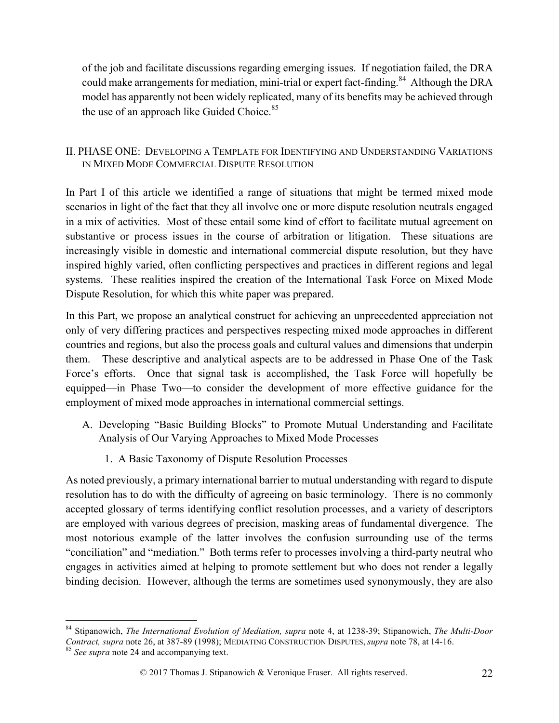of the job and facilitate discussions regarding emerging issues. If negotiation failed, the DRA could make arrangements for mediation, mini-trial or expert fact-finding.<sup>84</sup> Although the DRA model has apparently not been widely replicated, many of its benefits may be achieved through the use of an approach like Guided Choice.<sup>85</sup>

### II. PHASE ONE: DEVELOPING A TEMPLATE FOR IDENTIFYING AND UNDERSTANDING VARIATIONS IN MIXED MODE COMMERCIAL DISPUTE RESOLUTION

In Part I of this article we identified a range of situations that might be termed mixed mode scenarios in light of the fact that they all involve one or more dispute resolution neutrals engaged in a mix of activities. Most of these entail some kind of effort to facilitate mutual agreement on substantive or process issues in the course of arbitration or litigation. These situations are increasingly visible in domestic and international commercial dispute resolution, but they have inspired highly varied, often conflicting perspectives and practices in different regions and legal systems. These realities inspired the creation of the International Task Force on Mixed Mode Dispute Resolution, for which this white paper was prepared.

In this Part, we propose an analytical construct for achieving an unprecedented appreciation not only of very differing practices and perspectives respecting mixed mode approaches in different countries and regions, but also the process goals and cultural values and dimensions that underpin them. These descriptive and analytical aspects are to be addressed in Phase One of the Task Force's efforts. Once that signal task is accomplished, the Task Force will hopefully be equipped—in Phase Two—to consider the development of more effective guidance for the employment of mixed mode approaches in international commercial settings.

- A. Developing "Basic Building Blocks" to Promote Mutual Understanding and Facilitate Analysis of Our Varying Approaches to Mixed Mode Processes
	- 1. A Basic Taxonomy of Dispute Resolution Processes

As noted previously, a primary international barrier to mutual understanding with regard to dispute resolution has to do with the difficulty of agreeing on basic terminology. There is no commonly accepted glossary of terms identifying conflict resolution processes, and a variety of descriptors are employed with various degrees of precision, masking areas of fundamental divergence. The most notorious example of the latter involves the confusion surrounding use of the terms "conciliation" and "mediation." Both terms refer to processes involving a third-party neutral who engages in activities aimed at helping to promote settlement but who does not render a legally binding decision. However, although the terms are sometimes used synonymously, they are also

 <sup>84</sup> Stipanowich, *The International Evolution of Mediation, supra* note 4, at 1238-39; Stipanowich, *The Multi-Door Contract, supra* note 26, at 387-89 (1998); MEDIATING CONSTRUCTION DISPUTES, *supra* note 78, at 14-16. <sup>85</sup> *See supra* note 24 and accompanying text.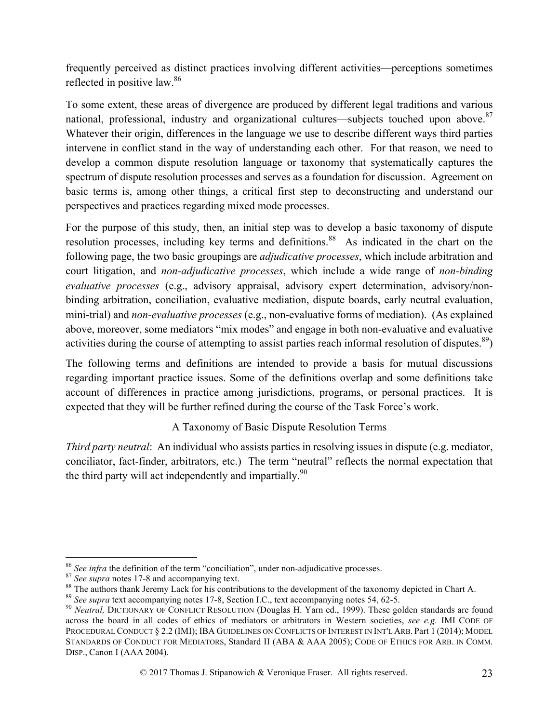frequently perceived as distinct practices involving different activities—perceptions sometimes reflected in positive law.<sup>86</sup>

To some extent, these areas of divergence are produced by different legal traditions and various national, professional, industry and organizational cultures—subjects touched upon above. $87$ Whatever their origin, differences in the language we use to describe different ways third parties intervene in conflict stand in the way of understanding each other. For that reason, we need to develop a common dispute resolution language or taxonomy that systematically captures the spectrum of dispute resolution processes and serves as a foundation for discussion. Agreement on basic terms is, among other things, a critical first step to deconstructing and understand our perspectives and practices regarding mixed mode processes.

For the purpose of this study, then, an initial step was to develop a basic taxonomy of dispute resolution processes, including key terms and definitions.<sup>88</sup> As indicated in the chart on the following page, the two basic groupings are *adjudicative processes*, which include arbitration and court litigation, and *non-adjudicative processes*, which include a wide range of *non-binding evaluative processes* (e.g., advisory appraisal, advisory expert determination, advisory/nonbinding arbitration, conciliation, evaluative mediation, dispute boards, early neutral evaluation, mini-trial) and *non-evaluative processes* (e.g., non-evaluative forms of mediation). (As explained above, moreover, some mediators "mix modes" and engage in both non-evaluative and evaluative activities during the course of attempting to assist parties reach informal resolution of disputes. $89$ )

The following terms and definitions are intended to provide a basis for mutual discussions regarding important practice issues. Some of the definitions overlap and some definitions take account of differences in practice among jurisdictions, programs, or personal practices. It is expected that they will be further refined during the course of the Task Force's work.

### A Taxonomy of Basic Dispute Resolution Terms

*Third party neutral*: An individual who assists parties in resolving issues in dispute (e.g. mediator, conciliator, fact-finder, arbitrators, etc.) The term "neutral" reflects the normal expectation that the third party will act independently and impartially. $90$ 

<sup>&</sup>lt;sup>86</sup> See infra the definition of the term "conciliation", under non-adjudicative processes.<br><sup>87</sup> See supra notes 17-8 and accompanying text.<br><sup>88</sup> The authors thank Jeremy Lack for his contributions to the development of t across the board in all codes of ethics of mediators or arbitrators in Western societies, *see e.g.* IMI CODE OF PROCEDURAL CONDUCT § 2.2 (IMI); IBA GUIDELINES ON CONFLICTS OF INTEREST IN INT'L ARB. Part 1 (2014); MODEL STANDARDS OF CONDUCT FOR MEDIATORS, Standard II (ABA & AAA 2005); CODE OF ETHICS FOR ARB. IN COMM. DISP., Canon I (AAA 2004).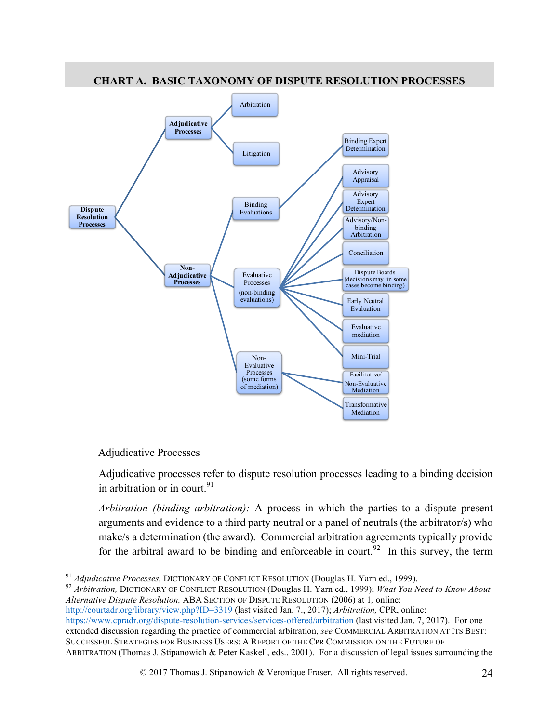

## **CHART A. BASIC TAXONOMY OF DISPUTE RESOLUTION PROCESSES**

### Adjudicative Processes

Adjudicative processes refer to dispute resolution processes leading to a binding decision in arbitration or in court.  $91$ 

*Arbitration (binding arbitration):* A process in which the parties to a dispute present arguments and evidence to a third party neutral or a panel of neutrals (the arbitrator/s) who make/s a determination (the award). Commercial arbitration agreements typically provide for the arbitral award to be binding and enforceable in court.<sup>92</sup> In this survey, the term

<sup>91</sup> *Adjudicative Processes, DICTIONARY OF CONFLICT RESOLUTION (Douglas H. Yarn ed., 1999). 92 Arbitration, DICTIONARY OF CONFLICT RESOLUTION (Douglas H. Yarn ed., 1999); <i>What You Need to Know About Alternative Dispute Resolution,* ABA SECTION OF DISPUTE RESOLUTION (2006) at 1*,* online:

http://courtadr.org/library/view.php?ID=3319 (last visited Jan. 7., 2017); *Arbitration,* CPR, online:

https://www.cpradr.org/dispute-resolution-services/services-offered/arbitration (last visited Jan. 7, 2017). For one extended discussion regarding the practice of commercial arbitration, *see* COMMERCIAL ARBITRATION AT ITS BEST:

SUCCESSFUL STRATEGIES FOR BUSINESS USERS: A REPORT OF THE CPR COMMISSION ON THE FUTURE OF ARBITRATION (Thomas J. Stipanowich & Peter Kaskell, eds., 2001). For a discussion of legal issues surrounding the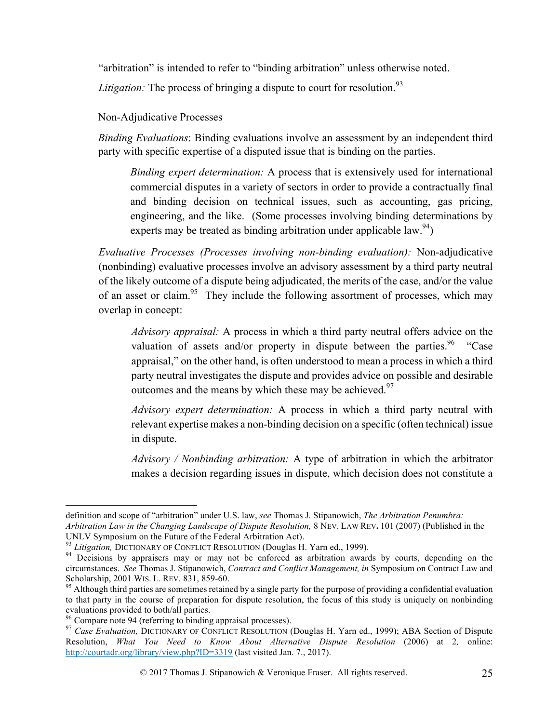"arbitration" is intended to refer to "binding arbitration" unless otherwise noted.

*Litigation:* The process of bringing a dispute to court for resolution.<sup>93</sup>

Non-Adjudicative Processes

*Binding Evaluations*: Binding evaluations involve an assessment by an independent third party with specific expertise of a disputed issue that is binding on the parties.

*Binding expert determination:* A process that is extensively used for international commercial disputes in a variety of sectors in order to provide a contractually final and binding decision on technical issues, such as accounting, gas pricing, engineering, and the like. (Some processes involving binding determinations by experts may be treated as binding arbitration under applicable law.<sup>94</sup>)

*Evaluative Processes (Processes involving non-binding evaluation):* Non-adjudicative (nonbinding) evaluative processes involve an advisory assessment by a third party neutral of the likely outcome of a dispute being adjudicated, the merits of the case, and/or the value of an asset or claim.<sup>95</sup> They include the following assortment of processes, which may overlap in concept:

*Advisory appraisal:* A process in which a third party neutral offers advice on the valuation of assets and/or property in dispute between the parties.<sup>96</sup> "Case appraisal," on the other hand, is often understood to mean a process in which a third party neutral investigates the dispute and provides advice on possible and desirable outcomes and the means by which these may be achieved. $97$ 

*Advisory expert determination:* A process in which a third party neutral with relevant expertise makes a non-binding decision on a specific (often technical) issue in dispute.

*Advisory / Nonbinding arbitration:* A type of arbitration in which the arbitrator makes a decision regarding issues in dispute, which decision does not constitute a

definition and scope of "arbitration" under U.S. law, *see* Thomas J. Stipanowich, *The Arbitration Penumbra: Arbitration Law in the Changing Landscape of Dispute Resolution,* 8 NEV. LAW REV**.** 101 (2007) (Published in the

UNLV Symposium on the Future of the Federal Arbitration Act).<br><sup>93</sup> Litigation, DICTIONARY OF CONFLICT RESOLUTION (Douglas H. Yarn ed., 1999).<br><sup>94</sup> Decisions by appraisers may or may not be enforced as arbitration awards by circumstances. *See* Thomas J. Stipanowich, *Contract and Conflict Management, in* Symposium on Contract Law and Scholarship, 2001 WIS. L. REV. 831, 859-60.<br><sup>95</sup> Although third parties are sometimes retained by a single party for the purpose of providing a confidential evaluation

to that party in the course of preparation for dispute resolution, the focus of this study is uniquely on nonbinding evaluations provided to both/all parties.<br><sup>96</sup> Compare note 94 (referring to binding appraisal processes).<br><sup>97</sup> *Case Evaluation*, DICTIONARY OF CONFLICT RESOLUTION (Douglas H. Yarn ed., 1999); ABA Section of Dispute

Resolution, *What You Need to Know About Alternative Dispute Resolution* (2006) at 2*,* online: http://courtadr.org/library/view.php?ID=3319 (last visited Jan. 7., 2017).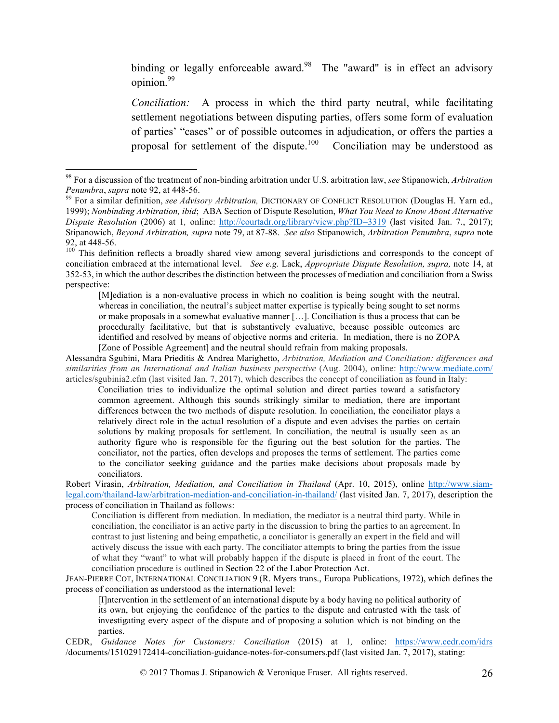binding or legally enforceable award.<sup>98</sup> The "award" is in effect an advisory opinion.<sup>99</sup>

*Conciliation:* A process in which the third party neutral, while facilitating settlement negotiations between disputing parties, offers some form of evaluation of parties' "cases" or of possible outcomes in adjudication, or offers the parties a proposal for settlement of the dispute.<sup>100</sup> Conciliation may be understood as

Conciliation tries to individualize the optimal solution and direct parties toward a satisfactory common agreement. Although this sounds strikingly similar to mediation, there are important differences between the two methods of dispute resolution. In conciliation, the conciliator plays a relatively direct role in the actual resolution of a dispute and even advises the parties on certain solutions by making proposals for settlement. In conciliation, the neutral is usually seen as an authority figure who is responsible for the figuring out the best solution for the parties. The conciliator, not the parties, often develops and proposes the terms of settlement. The parties come to the conciliator seeking guidance and the parties make decisions about proposals made by conciliators.

Robert Virasin, *Arbitration, Mediation, and Conciliation in Thailand* (Apr. 10, 2015), online http://www.siamlegal.com/thailand-law/arbitration-mediation-and-conciliation-in-thailand/ (last visited Jan. 7, 2017), description the process of conciliation in Thailand as follows:

Conciliation is different from mediation. In mediation, the mediator is a neutral third party. While in conciliation, the conciliator is an active party in the discussion to bring the parties to an agreement. In contrast to just listening and being empathetic, a conciliator is generally an expert in the field and will actively discuss the issue with each party. The conciliator attempts to bring the parties from the issue of what they "want" to what will probably happen if the dispute is placed in front of the court. The conciliation procedure is outlined in Section 22 of the Labor Protection Act.

JEAN-PIERRE COT, INTERNATIONAL CONCILIATION 9 (R. Myers trans., Europa Publications, 1972), which defines the process of conciliation as understood as the international level:

[I]ntervention in the settlement of an international dispute by a body having no political authority of its own, but enjoying the confidence of the parties to the dispute and entrusted with the task of investigating every aspect of the dispute and of proposing a solution which is not binding on the parties.

CEDR, *Guidance Notes for Customers: Conciliation* (2015) at 1*,* online: https://www.cedr.com/idrs /documents/151029172414-conciliation-guidance-notes-for-consumers.pdf (last visited Jan. 7, 2017), stating:

 <sup>98</sup> For a discussion of the treatment of non-binding arbitration under U.S. arbitration law, *see* Stipanowich, *Arbitration* 

*Penumbra*, *supra* note 92, at 448-56.<br><sup>99</sup> For a similar definition, *see Advisory Arbitration*, DICTIONARY OF CONFLICT RESOLUTION (Douglas H. Yarn ed., 1999); *Nonbinding Arbitration, ibid*; ABA Section of Dispute Resolution, *What You Need to Know About Alternative Dispute Resolution* (2006) at 1*,* online: http://courtadr.org/library/view.php?ID=3319 (last visited Jan. 7., 2017); Stipanowich, *Beyond Arbitration, supra* note 79, at 87-88. *See also* Stipanowich, *Arbitration Penumbra*, *supra* note 92, at 448-56.<br><sup>100</sup> This definition reflects a broadly shared view among several jurisdictions and corresponds to the concept of

conciliation embraced at the international level. *See e.g.* Lack, *Appropriate Dispute Resolution, supra,* note 14, at 352-53, in which the author describes the distinction between the processes of mediation and conciliation from a Swiss perspective:

<sup>[</sup>M]ediation is a non-evaluative process in which no coalition is being sought with the neutral, whereas in conciliation, the neutral's subject matter expertise is typically being sought to set norms or make proposals in a somewhat evaluative manner […]. Conciliation is thus a process that can be procedurally facilitative, but that is substantively evaluative, because possible outcomes are identified and resolved by means of objective norms and criteria. In mediation, there is no ZOPA [Zone of Possible Agreement] and the neutral should refrain from making proposals.

Alessandra Sgubini, Mara Prieditis & Andrea Marighetto, *Arbitration, Mediation and Conciliation: differences and similarities from an International and Italian business perspective* (Aug. 2004), online: http://www.mediate.com/ articles/sgubinia2.cfm (last visited Jan. 7, 2017), which describes the concept of conciliation as found in Italy: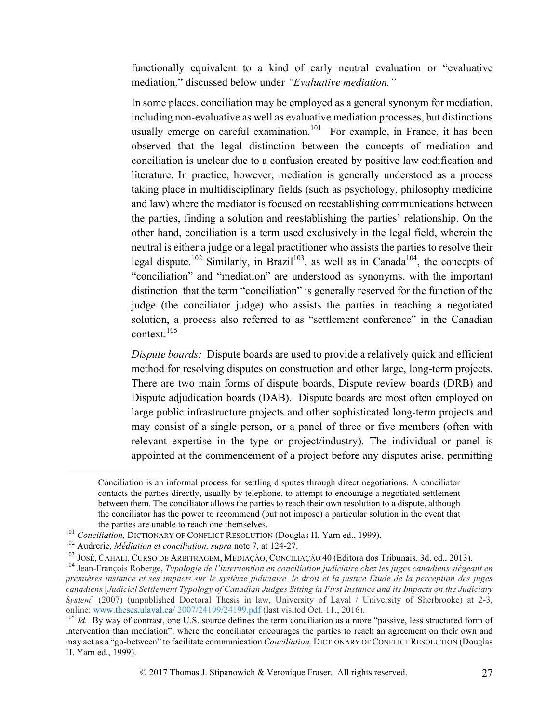functionally equivalent to a kind of early neutral evaluation or "evaluative mediation," discussed below under *"Evaluative mediation."*

In some places, conciliation may be employed as a general synonym for mediation, including non-evaluative as well as evaluative mediation processes, but distinctions usually emerge on careful examination.<sup>101</sup> For example, in France, it has been observed that the legal distinction between the concepts of mediation and conciliation is unclear due to a confusion created by positive law codification and literature. In practice, however, mediation is generally understood as a process taking place in multidisciplinary fields (such as psychology, philosophy medicine and law) where the mediator is focused on reestablishing communications between the parties, finding a solution and reestablishing the parties' relationship. On the other hand, conciliation is a term used exclusively in the legal field, wherein the neutral is either a judge or a legal practitioner who assists the parties to resolve their legal dispute.<sup>102</sup> Similarly, in Brazil<sup>103</sup>, as well as in Canada<sup>104</sup>, the concepts of "conciliation" and "mediation" are understood as synonyms, with the important distinction that the term "conciliation" is generally reserved for the function of the judge (the conciliator judge) who assists the parties in reaching a negotiated solution, a process also referred to as "settlement conference" in the Canadian context $105$ 

*Dispute boards:* Dispute boards are used to provide a relatively quick and efficient method for resolving disputes on construction and other large, long-term projects. There are two main forms of dispute boards, Dispute review boards (DRB) and Dispute adjudication boards (DAB). Dispute boards are most often employed on large public infrastructure projects and other sophisticated long-term projects and may consist of a single person, or a panel of three or five members (often with relevant expertise in the type or project/industry). The individual or panel is appointed at the commencement of a project before any disputes arise, permitting

Conciliation is an informal process for settling disputes through direct negotiations. A conciliator contacts the parties directly, usually by telephone, to attempt to encourage a negotiated settlement between them. The conciliator allows the parties to reach their own resolution to a dispute, although the conciliator has the power to recommend (but not impose) a particular solution in the event that

the parties are unable to reach one themselves.<br><sup>101</sup> *Conciliation*, DICTIONARY OF CONFLICT RESOLUTION (Douglas H. Yarn ed., 1999).

<sup>&</sup>lt;sup>102</sup> Audrerie, *Médiation et conciliation, supra* note 7, at 124-27.<br><sup>103</sup> JOSÉ, CAHALI, CURSO DE ARBITRAGEM, ME<u>DIAÇÃO, CONCILIAÇÃO</u> 40 (Editora dos Tribunais, 3d. ed., 2013).

<sup>&</sup>lt;sup>104</sup> Jean-François Roberge, Typologie de l'intervention en conciliation judiciaire chez les juges canadiens siégeant en *premières instance et ses impacts sur le système judiciaire, le droit et la justice Étude de la perception des juges canadiens* [*Judicial Settlement Typology of Canadian Judges Sitting in First Instance and its Impacts on the Judiciary System*] (2007) (unpublished Doctoral Thesis in law, University of Laval / University of Sherbrooke) at 2-3, online: www.theses.ulaval.ca/ 2007/24199/24199.pdf (last visited Oct. 11., 2016).<br><sup>105</sup> *Id.* By way of contrast, one U.S. source defines the term conciliation as a more "passive, less structured form of

intervention than mediation", where the conciliator encourages the parties to reach an agreement on their own and may act as a "go-between" to facilitate communication *Conciliation,* DICTIONARY OF CONFLICT RESOLUTION (Douglas H. Yarn ed., 1999).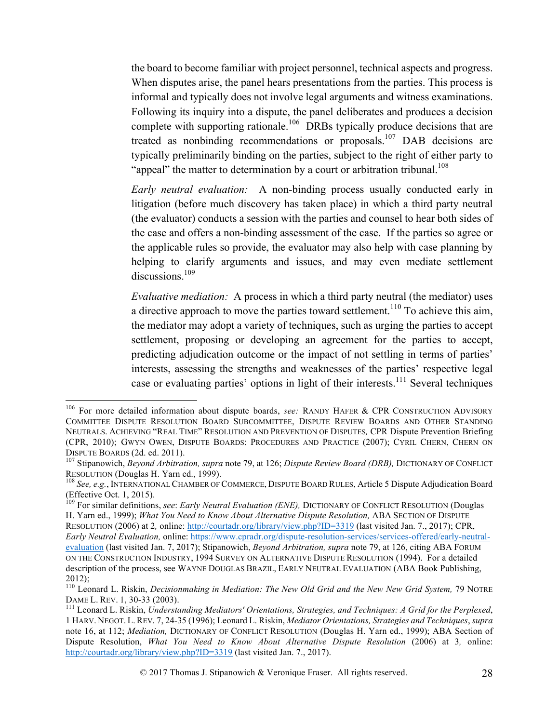the board to become familiar with project personnel, technical aspects and progress. When disputes arise, the panel hears presentations from the parties. This process is informal and typically does not involve legal arguments and witness examinations. Following its inquiry into a dispute, the panel deliberates and produces a decision complete with supporting rationale.<sup>106</sup> DRBs typically produce decisions that are treated as nonbinding recommendations or proposals.<sup>107</sup> DAB decisions are typically preliminarily binding on the parties, subject to the right of either party to "appeal" the matter to determination by a court or arbitration tribunal.<sup>108</sup>

*Early neutral evaluation:* A non-binding process usually conducted early in litigation (before much discovery has taken place) in which a third party neutral (the evaluator) conducts a session with the parties and counsel to hear both sides of the case and offers a non-binding assessment of the case. If the parties so agree or the applicable rules so provide, the evaluator may also help with case planning by helping to clarify arguments and issues, and may even mediate settlement discussions.<sup>109</sup>

*Evaluative mediation:* A process in which a third party neutral (the mediator) uses a directive approach to move the parties toward settlement.<sup>110</sup> To achieve this aim, the mediator may adopt a variety of techniques, such as urging the parties to accept settlement, proposing or developing an agreement for the parties to accept, predicting adjudication outcome or the impact of not settling in terms of parties' interests, assessing the strengths and weaknesses of the parties' respective legal case or evaluating parties' options in light of their interests.<sup>111</sup> Several techniques

 <sup>106</sup> For more detailed information about dispute boards, *see:* RANDY HAFER & CPR CONSTRUCTION ADVISORY COMMITTEE DISPUTE RESOLUTION BOARD SUBCOMMITTEE, DISPUTE REVIEW BOARDS AND OTHER STANDING NEUTRALS. ACHIEVING "REAL TIME" RESOLUTION AND PREVENTION OF DISPUTES*,* CPR Dispute Prevention Briefing (CPR, 2010); GWYN OWEN, DISPUTE BOARDS: PROCEDURES AND PRACTICE (2007); CYRIL CHERN, CHERN ON

DISPUTE BOARDS (2d. ed. 2011). <sup>107</sup> Stipanowich, *Beyond Arbitration, supra* note 79, at 126; *Dispute Review Board (DRB),* DICTIONARY OF CONFLICT

<sup>&</sup>lt;sup>108</sup> See, e.g., INTERNATIONAL CHAMBER OF COMMERCE, DISPUTE BOARD RULES, Article 5 Dispute Adjudication Board (Effective Oct. 1, 2015).

<sup>109</sup> For similar definitions, *see*: *Early Neutral Evaluation (ENE),* DICTIONARY OF CONFLICT RESOLUTION (Douglas H. Yarn ed., 1999); *What You Need to Know About Alternative Dispute Resolution,* ABA SECTION OF DISPUTE RESOLUTION (2006) at 2*,* online: http://courtadr.org/library/view.php?ID=3319 (last visited Jan. 7., 2017); CPR, *Early Neutral Evaluation,* online: https://www.cpradr.org/dispute-resolution-services/services-offered/early-neutralevaluation (last visited Jan. 7, 2017); Stipanowich, *Beyond Arbitration, supra* note 79, at 126, citing ABA FORUM ON THE CONSTRUCTION INDUSTRY, 1994 SURVEY ON ALTERNATIVE DISPUTE RESOLUTION (1994). For a detailed description of the process, see WAYNE DOUGLAS BRAZIL, EARLY NEUTRAL EVALUATION (ABA Book Publishing, 2012);

<sup>&</sup>lt;sup>110</sup> Leonard L. Riskin, *Decisionmaking in Mediation: The New Old Grid and the New New Grid System, 79 NOTRE DAME L. REV. 1, 30-33 (2003).* 

<sup>&</sup>lt;sup>111</sup> Leonard L. Riskin, *Understanding Mediators' Orientations, Strategies, and Techniques: A Grid for the Perplexed,* 1 HARV. NEGOT. L.REV. 7, 24-35 (1996); Leonard L. Riskin, *Mediator Orientations, Strategies and Techniques*, *supra*  note 16, at 112; *Mediation,* DICTIONARY OF CONFLICT RESOLUTION (Douglas H. Yarn ed., 1999); ABA Section of Dispute Resolution, *What You Need to Know About Alternative Dispute Resolution* (2006) at 3*,* online: http://courtadr.org/library/view.php?ID=3319 (last visited Jan. 7., 2017).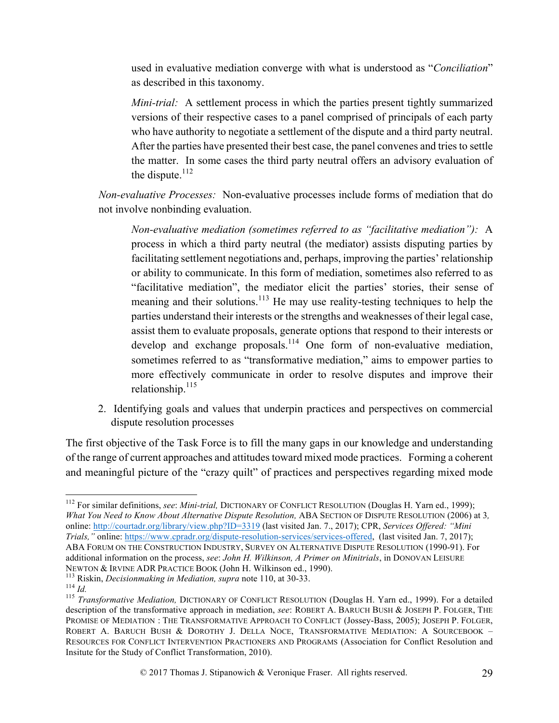used in evaluative mediation converge with what is understood as "*Conciliation*" as described in this taxonomy.

*Mini-trial:* A settlement process in which the parties present tightly summarized versions of their respective cases to a panel comprised of principals of each party who have authority to negotiate a settlement of the dispute and a third party neutral. After the parties have presented their best case, the panel convenes and tries to settle the matter. In some cases the third party neutral offers an advisory evaluation of the dispute. $112$ 

*Non-evaluative Processes:* Non-evaluative processes include forms of mediation that do not involve nonbinding evaluation.

*Non-evaluative mediation (sometimes referred to as "facilitative mediation"):* A process in which a third party neutral (the mediator) assists disputing parties by facilitating settlement negotiations and, perhaps, improving the parties' relationship or ability to communicate. In this form of mediation, sometimes also referred to as "facilitative mediation", the mediator elicit the parties' stories, their sense of meaning and their solutions.<sup>113</sup> He may use reality-testing techniques to help the parties understand their interests or the strengths and weaknesses of their legal case, assist them to evaluate proposals, generate options that respond to their interests or develop and exchange proposals.<sup>114</sup> One form of non-evaluative mediation, sometimes referred to as "transformative mediation," aims to empower parties to more effectively communicate in order to resolve disputes and improve their relationship. $^{115}$ 

2. Identifying goals and values that underpin practices and perspectives on commercial dispute resolution processes

The first objective of the Task Force is to fill the many gaps in our knowledge and understanding of the range of current approaches and attitudes toward mixed mode practices. Forming a coherent and meaningful picture of the "crazy quilt" of practices and perspectives regarding mixed mode

 <sup>112</sup> For similar definitions, *see*: *Mini-trial,* DICTIONARY OF CONFLICT RESOLUTION (Douglas H. Yarn ed., 1999); *What You Need to Know About Alternative Dispute Resolution, ABA SECTION OF DISPUTE RESOLUTION (2006) at 3,* online: http://courtadr.org/library/view.php?ID=3319 (last visited Jan. 7., 2017); CPR, *Services Offered: "Mini Trials,"* online: https://www.cpradr.org/dispute-resolution-services/services-offered, (last visited Jan. 7, 2017); ABA FORUM ON THE CONSTRUCTION INDUSTRY, SURVEY ON ALTERNATIVE DISPUTE RESOLUTION (1990-91). For additional information on the process, *see*: *John H. Wilkinson, A Primer on Minitrials*, in DONOVAN LEISURE

NEWTON & IRVINE ADR PRACTICE BOOK (John H. Wilkinson ed., 1990).<br><sup>113</sup> Riskin, *Decisionmaking in Mediation, supra* note 110, at 30-33.<br><sup>114</sup> *Id.*<br><sup>115</sup> Transformative Mediation, DICTIONARY OF CONFLICT RESOLUTION (Douglas description of the transformative approach in mediation, *see*: ROBERT A. BARUCH BUSH & JOSEPH P. FOLGER, THE PROMISE OF MEDIATION : THE TRANSFORMATIVE APPROACH TO CONFLICT (Jossey-Bass, 2005); JOSEPH P. FOLGER, ROBERT A. BARUCH BUSH & DOROTHY J. DELLA NOCE, TRANSFORMATIVE MEDIATION: A SOURCEBOOK – RESOURCES FOR CONFLICT INTERVENTION PRACTIONERS AND PROGRAMS (Association for Conflict Resolution and Insitute for the Study of Conflict Transformation, 2010).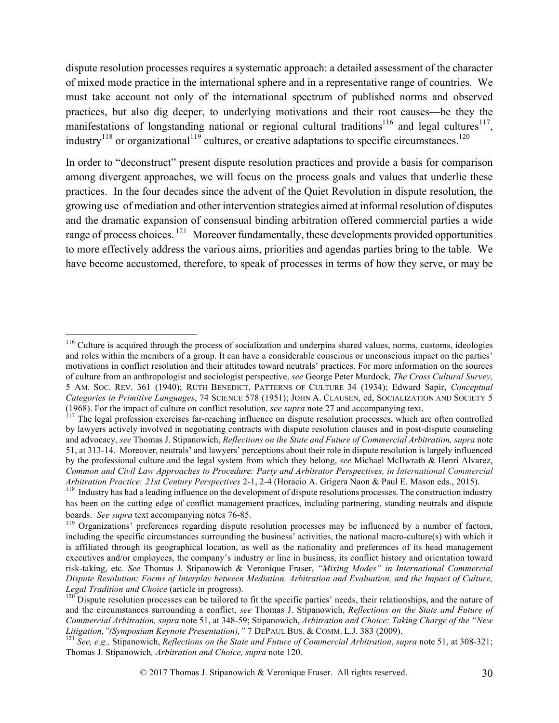dispute resolution processes requires a systematic approach: a detailed assessment of the character of mixed mode practice in the international sphere and in a representative range of countries. We must take account not only of the international spectrum of published norms and observed practices, but also dig deeper, to underlying motivations and their root causes—be they the manifestations of longstanding national or regional cultural traditions<sup>116</sup> and legal cultures<sup>117</sup>, industry<sup>118</sup> or organizational<sup>119</sup> cultures, or creative adaptations to specific circumstances.<sup>120</sup>

In order to "deconstruct" present dispute resolution practices and provide a basis for comparison among divergent approaches, we will focus on the process goals and values that underlie these practices. In the four decades since the advent of the Quiet Revolution in dispute resolution, the growing use of mediation and other intervention strategies aimed at informal resolution of disputes and the dramatic expansion of consensual binding arbitration offered commercial parties a wide range of process choices.<sup>121</sup> Moreover fundamentally, these developments provided opportunities to more effectively address the various aims, priorities and agendas parties bring to the table. We have become accustomed, therefore, to speak of processes in terms of how they serve, or may be

<sup>&</sup>lt;sup>116</sup> Culture is acquired through the process of socialization and underpins shared values, norms, customs, ideologies and roles within the members of a group. It can have a considerable conscious or unconscious impact on the parties' motivations in conflict resolution and their attitudes toward neutrals' practices. For more information on the sources of culture from an anthropologist and sociologist perspective, *see* George Peter Murdock*, The Cross Cultural Survey,* 5 AM. SOC. REV. 361 (1940); RUTH BENEDICT, PATTERNS OF CULTURE 34 (1934); Edward Sapir, *Conceptual Categories in Primitive Languages*, 74 SCIENCE 578 (1951); JOHN A. CLAUSEN, ed, SOCIALIZATION AND SOCIETY 5 (1968). For the impact of culture on conflict resolution*, see supra* note 27 and accompanying text. <sup>117</sup> The legal profession exercises far-reaching influence on dispute resolution processes, which are often controlled

by lawyers actively involved in negotiating contracts with dispute resolution clauses and in post-dispute counseling and advocacy, *see* Thomas J. Stipanowich, *Reflections on the State and Future of Commercial Arbitration, supra* note 51, at 313-14. Moreover, neutrals' and lawyers' perceptions about their role in dispute resolution is largely influenced by the professional culture and the legal system from which they belong, *see* Michael McIlwrath & Henri Alvarez, *Common and Civil Law Approaches to Procedure: Party and Arbitrator Perspectives, in International Commercial Arbitration Practice: 21st Century Perspectives 2-1, 2-4 (Horacio A. Grigera Naon & Paul E. Mason eds., 2015).* 

<sup>&</sup>lt;sup>118</sup> Industry has had a leading influence on the development of dispute resolutions processes. The construction industry has been on the cutting edge of conflict management practices, including partnering, standing neutrals and dispute

boards. *See supra* text accompanying notes 76-85.<br><sup>119</sup> Organizations' preferences regarding dispute resolution processes may be influenced by a number of factors, including the specific circumstances surrounding the business' activities, the national macro-culture(s) with which it is affiliated through its geographical location, as well as the nationality and preferences of its head management executives and/or employees, the company's industry or line in business, its conflict history and orientation toward risk-taking, etc. *See* Thomas J. Stipanowich & Veronique Fraser, *"Mixing Modes" in International Commercial Dispute Resolution: Forms of Interplay between Mediation, Arbitration and Evaluation, and the Impact of Culture, Legal Tradition and Choice* (article in progress).<br><sup>120</sup> Dispute resolution processes can be tailored to fit the specific parties' needs, their relationships, and the nature of

and the circumstances surrounding a conflict, *see* Thomas J. Stipanowich, *Reflections on the State and Future of Commercial Arbitration, supra* note 51, at 348-59; Stipanowich, *Arbitration and Choice: Taking Charge of the "New*  Litigation,"(Symposium Keynote Presentation)," 7 DEPAUL BUS. & COMM. L.J. 383 (2009).<br><sup>121</sup> See, e.g., Stipanowich, Reflections on the State and Future of Commercial Arbitration, supra note 51, at 308-321;

Thomas J. Stipanowich*, Arbitration and Choice, supra* note 120.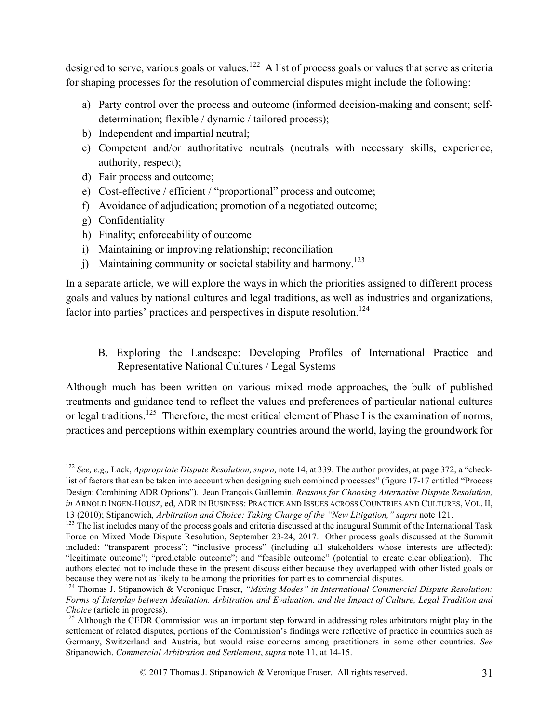designed to serve, various goals or values.<sup>122</sup> A list of process goals or values that serve as criteria for shaping processes for the resolution of commercial disputes might include the following:

- a) Party control over the process and outcome (informed decision-making and consent; selfdetermination; flexible / dynamic / tailored process);
- b) Independent and impartial neutral;
- c) Competent and/or authoritative neutrals (neutrals with necessary skills, experience, authority, respect);
- d) Fair process and outcome;
- e) Cost-effective / efficient / "proportional" process and outcome;
- f) Avoidance of adjudication; promotion of a negotiated outcome;
- g) Confidentiality
- h) Finality; enforceability of outcome
- i) Maintaining or improving relationship; reconciliation
- j) Maintaining community or societal stability and harmony.<sup>123</sup>

In a separate article, we will explore the ways in which the priorities assigned to different process goals and values by national cultures and legal traditions, as well as industries and organizations, factor into parties' practices and perspectives in dispute resolution.<sup>124</sup>

B. Exploring the Landscape: Developing Profiles of International Practice and Representative National Cultures / Legal Systems

Although much has been written on various mixed mode approaches, the bulk of published treatments and guidance tend to reflect the values and preferences of particular national cultures or legal traditions.<sup>125</sup> Therefore, the most critical element of Phase I is the examination of norms, practices and perceptions within exemplary countries around the world, laying the groundwork for

 <sup>122</sup> *See, e.g.,* Lack, *Appropriate Dispute Resolution, supra,* note 14, at 339. The author provides, at page 372, a "checklist of factors that can be taken into account when designing such combined processes" (figure 17-17 entitled "Process") Design: Combining ADR Options"). Jean François Guillemin, *Reasons for Choosing Alternative Dispute Resolution, in* ARNOLD INGEN-HOUSZ, ed, ADR IN BUSINESS: PRACTICE AND ISSUES ACROSS COUNTRIES AND CULTURES, VOL. II, 13 (2010); Stipanowich*, Arbitration and Choice: Taking Charge of the "New Litigation," supra* note 121.

 $123$  The list includes many of the process goals and criteria discussed at the inaugural Summit of the International Task Force on Mixed Mode Dispute Resolution, September 23-24, 2017. Other process goals discussed at the Summit included: "transparent process"; "inclusive process" (including all stakeholders whose interests are affected); "legitimate outcome"; "predictable outcome"; and "feasible outcome" (potential to create clear obligation). The authors elected not to include these in the present discuss either because they overlapped with other listed goals or because they were not as likely to be among the priorities for parties to commercial disputes.<br><sup>124</sup> Thomas J. Stipanowich & Veronique Fraser, *"Mixing Modes" in International Commercial Dispute Resolution:* 

*Forms of Interplay between Mediation, Arbitration and Evaluation, and the Impact of Culture, Legal Tradition and* 

<sup>&</sup>lt;sup>125</sup> Although the CEDR Commission was an important step forward in addressing roles arbitrators might play in the settlement of related disputes, portions of the Commission's findings were reflective of practice in countries such as Germany, Switzerland and Austria, but would raise concerns among practitioners in some other countries. *See* Stipanowich, *Commercial Arbitration and Settlement*, *supra* note 11, at 14-15.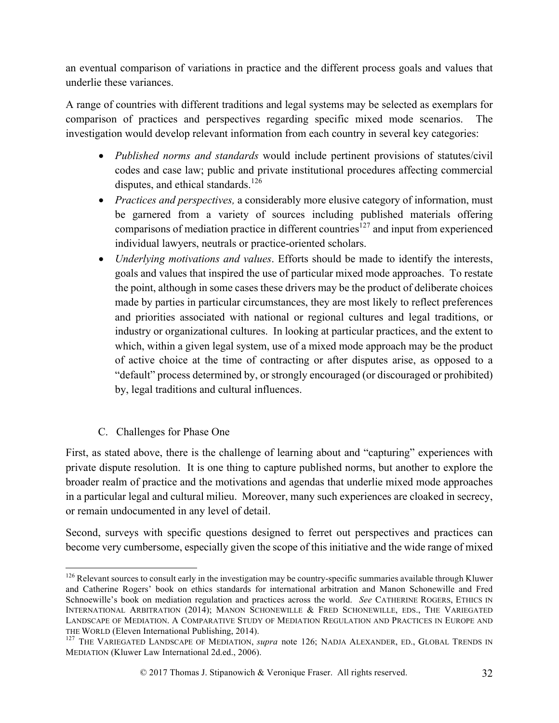an eventual comparison of variations in practice and the different process goals and values that underlie these variances.

A range of countries with different traditions and legal systems may be selected as exemplars for comparison of practices and perspectives regarding specific mixed mode scenarios. The investigation would develop relevant information from each country in several key categories:

- *Published norms and standards* would include pertinent provisions of statutes/civil codes and case law; public and private institutional procedures affecting commercial disputes, and ethical standards.<sup>126</sup>
- *Practices and perspectives,* a considerably more elusive category of information, must be garnered from a variety of sources including published materials offering comparisons of mediation practice in different countries<sup>127</sup> and input from experienced individual lawyers, neutrals or practice-oriented scholars.
- *Underlying motivations and values*. Efforts should be made to identify the interests, goals and values that inspired the use of particular mixed mode approaches. To restate the point, although in some cases these drivers may be the product of deliberate choices made by parties in particular circumstances, they are most likely to reflect preferences and priorities associated with national or regional cultures and legal traditions, or industry or organizational cultures. In looking at particular practices, and the extent to which, within a given legal system, use of a mixed mode approach may be the product of active choice at the time of contracting or after disputes arise, as opposed to a "default" process determined by, or strongly encouraged (or discouraged or prohibited) by, legal traditions and cultural influences.
- C. Challenges for Phase One

First, as stated above, there is the challenge of learning about and "capturing" experiences with private dispute resolution. It is one thing to capture published norms, but another to explore the broader realm of practice and the motivations and agendas that underlie mixed mode approaches in a particular legal and cultural milieu. Moreover, many such experiences are cloaked in secrecy, or remain undocumented in any level of detail.

Second, surveys with specific questions designed to ferret out perspectives and practices can become very cumbersome, especially given the scope of this initiative and the wide range of mixed

<sup>&</sup>lt;sup>126</sup> Relevant sources to consult early in the investigation may be country-specific summaries available through Kluwer and Catherine Rogers' book on ethics standards for international arbitration and Manon Schonewille and Fred Schnoewille's book on mediation regulation and practices across the world. *See* CATHERINE ROGERS, ETHICS IN INTERNATIONAL ARBITRATION (2014); MANON SCHONEWILLE & FRED SCHONEWILLE, EDS., THE VARIEGATED LANDSCAPE OF MEDIATION. A COMPARATIVE STUDY OF MEDIATION REGULATION AND PRACTICES IN EUROPE AND

THE WORLD (Eleven International Publishing, 2014).<br><sup>127</sup> THE VARIEGATED LANDSCAPE OF MEDIATION, *supra* note 126; NADJA ALEXANDER, ED., GLOBAL TRENDS IN MEDIATION (Kluwer Law International 2d.ed., 2006).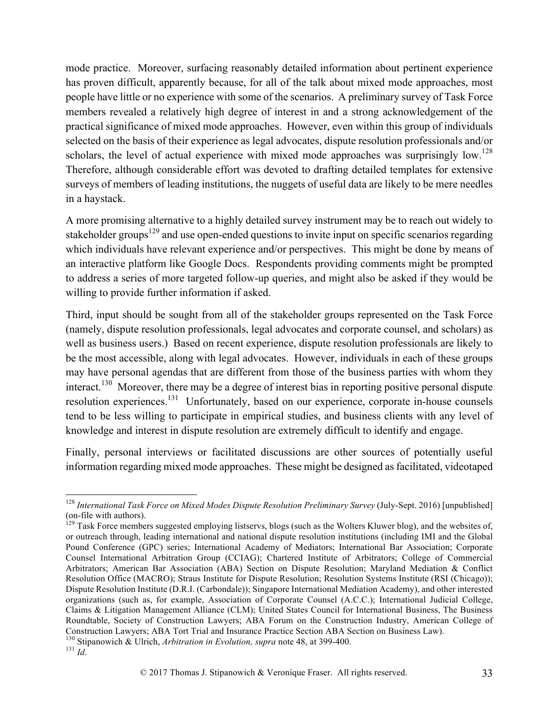mode practice. Moreover, surfacing reasonably detailed information about pertinent experience has proven difficult, apparently because, for all of the talk about mixed mode approaches, most people have little or no experience with some of the scenarios. A preliminary survey of Task Force members revealed a relatively high degree of interest in and a strong acknowledgement of the practical significance of mixed mode approaches. However, even within this group of individuals selected on the basis of their experience as legal advocates, dispute resolution professionals and/or scholars, the level of actual experience with mixed mode approaches was surprisingly low.<sup>128</sup> Therefore, although considerable effort was devoted to drafting detailed templates for extensive surveys of members of leading institutions, the nuggets of useful data are likely to be mere needles in a haystack.

A more promising alternative to a highly detailed survey instrument may be to reach out widely to stakeholder groups<sup>129</sup> and use open-ended questions to invite input on specific scenarios regarding which individuals have relevant experience and/or perspectives. This might be done by means of an interactive platform like Google Docs. Respondents providing comments might be prompted to address a series of more targeted follow-up queries, and might also be asked if they would be willing to provide further information if asked.

Third, input should be sought from all of the stakeholder groups represented on the Task Force (namely, dispute resolution professionals, legal advocates and corporate counsel, and scholars) as well as business users.) Based on recent experience, dispute resolution professionals are likely to be the most accessible, along with legal advocates. However, individuals in each of these groups may have personal agendas that are different from those of the business parties with whom they interact.<sup>130</sup> Moreover, there may be a degree of interest bias in reporting positive personal dispute resolution experiences.131 Unfortunately, based on our experience, corporate in-house counsels tend to be less willing to participate in empirical studies, and business clients with any level of knowledge and interest in dispute resolution are extremely difficult to identify and engage.

Finally, personal interviews or facilitated discussions are other sources of potentially useful information regarding mixed mode approaches. These might be designed as facilitated, videotaped

<sup>&</sup>lt;sup>128</sup> *International Task Force on Mixed Modes Dispute Resolution Preliminary Survey (July-Sept. 2016)* [unpublished] (on-file with authors).<br><sup>129</sup> Task Force members suggested employing listservs, blogs (such as the Wolters Kluwer blog), and the websites of,

or outreach through, leading international and national dispute resolution institutions (including IMI and the Global Pound Conference (GPC) series; International Academy of Mediators; International Bar Association; Corporate Counsel International Arbitration Group (CCIAG); Chartered Institute of Arbitrators; College of Commercial Arbitrators; American Bar Association (ABA) Section on Dispute Resolution; Maryland Mediation & Conflict Resolution Office (MACRO); Straus Institute for Dispute Resolution; Resolution Systems Institute (RSI (Chicago)); Dispute Resolution Institute (D.R.I. (Carbondale)); Singapore International Mediation Academy), and other interested organizations (such as, for example, Association of Corporate Counsel (A.C.C.); International Judicial College, Claims & Litigation Management Alliance (CLM); United States Council for International Business, The Business Roundtable, Society of Construction Lawyers; ABA Forum on the Construction Industry, American College of Construction Lawyers; ABA Tort Trial and Insurance Practice Section ABA Section on Business Law). 130 Stipanowich & Ulrich, *Arbitration in Evolution, supra* note 48, at 399-400. <sup>131</sup> *Id*.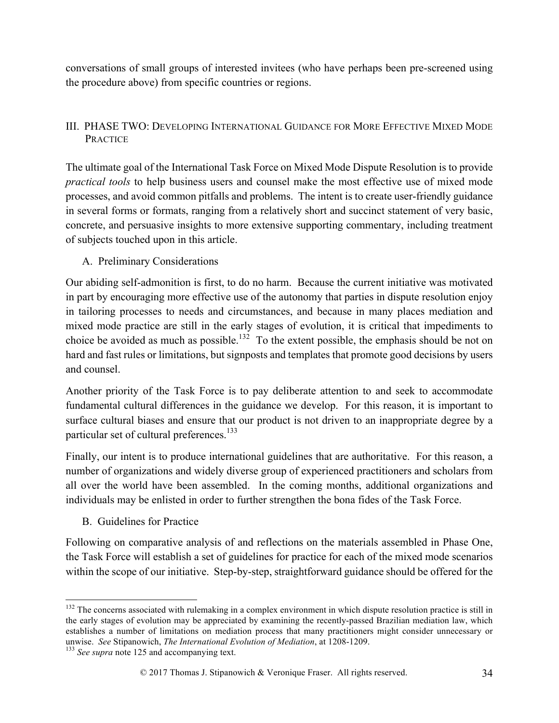conversations of small groups of interested invitees (who have perhaps been pre-screened using the procedure above) from specific countries or regions.

## III. PHASE TWO: DEVELOPING INTERNATIONAL GUIDANCE FOR MORE EFFECTIVE MIXED MODE PRACTICE

The ultimate goal of the International Task Force on Mixed Mode Dispute Resolution is to provide *practical tools* to help business users and counsel make the most effective use of mixed mode processes, and avoid common pitfalls and problems. The intent is to create user-friendly guidance in several forms or formats, ranging from a relatively short and succinct statement of very basic, concrete, and persuasive insights to more extensive supporting commentary, including treatment of subjects touched upon in this article.

### A. Preliminary Considerations

Our abiding self-admonition is first, to do no harm. Because the current initiative was motivated in part by encouraging more effective use of the autonomy that parties in dispute resolution enjoy in tailoring processes to needs and circumstances, and because in many places mediation and mixed mode practice are still in the early stages of evolution, it is critical that impediments to choice be avoided as much as possible.<sup>132</sup> To the extent possible, the emphasis should be not on hard and fast rules or limitations, but signposts and templates that promote good decisions by users and counsel.

Another priority of the Task Force is to pay deliberate attention to and seek to accommodate fundamental cultural differences in the guidance we develop. For this reason, it is important to surface cultural biases and ensure that our product is not driven to an inappropriate degree by a particular set of cultural preferences. $133$ 

Finally, our intent is to produce international guidelines that are authoritative. For this reason, a number of organizations and widely diverse group of experienced practitioners and scholars from all over the world have been assembled. In the coming months, additional organizations and individuals may be enlisted in order to further strengthen the bona fides of the Task Force.

B. Guidelines for Practice

Following on comparative analysis of and reflections on the materials assembled in Phase One, the Task Force will establish a set of guidelines for practice for each of the mixed mode scenarios within the scope of our initiative. Step-by-step, straightforward guidance should be offered for the

<sup>&</sup>lt;sup>132</sup> The concerns associated with rulemaking in a complex environment in which dispute resolution practice is still in the early stages of evolution may be appreciated by examining the recently-passed Brazilian mediation law, which establishes a number of limitations on mediation process that many practitioners might consider unnecessary or unwise. *See* Stipanowich, *The International Evolution of Mediation*, at 1208-1209. 133 *See supra* note 125 and accompanying text.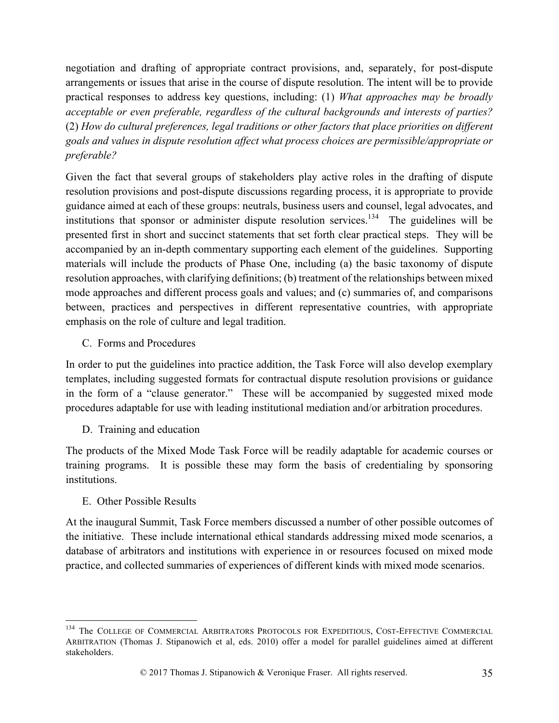negotiation and drafting of appropriate contract provisions, and, separately, for post-dispute arrangements or issues that arise in the course of dispute resolution. The intent will be to provide practical responses to address key questions, including: (1) *What approaches may be broadly acceptable or even preferable, regardless of the cultural backgrounds and interests of parties?* (2) *How do cultural preferences, legal traditions or other factors that place priorities on different goals and values in dispute resolution affect what process choices are permissible/appropriate or preferable?*

Given the fact that several groups of stakeholders play active roles in the drafting of dispute resolution provisions and post-dispute discussions regarding process, it is appropriate to provide guidance aimed at each of these groups: neutrals, business users and counsel, legal advocates, and institutions that sponsor or administer dispute resolution services.<sup>134</sup> The guidelines will be presented first in short and succinct statements that set forth clear practical steps. They will be accompanied by an in-depth commentary supporting each element of the guidelines. Supporting materials will include the products of Phase One, including (a) the basic taxonomy of dispute resolution approaches, with clarifying definitions; (b) treatment of the relationships between mixed mode approaches and different process goals and values; and (c) summaries of, and comparisons between, practices and perspectives in different representative countries, with appropriate emphasis on the role of culture and legal tradition.

C. Forms and Procedures

In order to put the guidelines into practice addition, the Task Force will also develop exemplary templates, including suggested formats for contractual dispute resolution provisions or guidance in the form of a "clause generator." These will be accompanied by suggested mixed mode procedures adaptable for use with leading institutional mediation and/or arbitration procedures.

D. Training and education

The products of the Mixed Mode Task Force will be readily adaptable for academic courses or training programs. It is possible these may form the basis of credentialing by sponsoring institutions.

### E. Other Possible Results

At the inaugural Summit, Task Force members discussed a number of other possible outcomes of the initiative. These include international ethical standards addressing mixed mode scenarios, a database of arbitrators and institutions with experience in or resources focused on mixed mode practice, and collected summaries of experiences of different kinds with mixed mode scenarios.

<sup>&</sup>lt;sup>134</sup> The COLLEGE OF COMMERCIAL ARBITRATORS PROTOCOLS FOR EXPEDITIOUS, COST-EFFECTIVE COMMERCIAL ARBITRATION (Thomas J. Stipanowich et al, eds. 2010) offer a model for parallel guidelines aimed at different stakeholders.